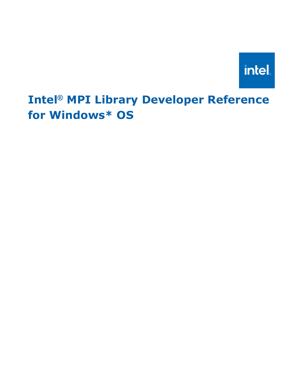

# **Intel® MPI Library Developer Reference for Windows\* OS**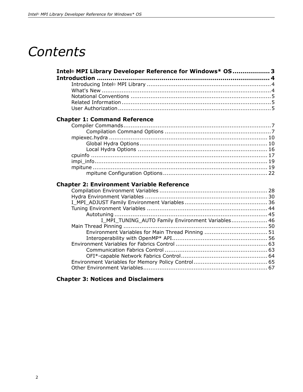# *Contents*

| Intel® MPI Library Developer Reference for Windows* OS3 |  |
|---------------------------------------------------------|--|
|                                                         |  |
|                                                         |  |
|                                                         |  |
|                                                         |  |
|                                                         |  |
|                                                         |  |
|                                                         |  |

#### **[Chapter 1: Command Reference](#page-6-0)**

#### **[Chapter 2: Environment Variable Reference](#page-27-0)**

| I_MPI_TUNING_AUTO Family Environment Variables 46 |  |
|---------------------------------------------------|--|
|                                                   |  |
|                                                   |  |
|                                                   |  |
|                                                   |  |
|                                                   |  |
|                                                   |  |
|                                                   |  |
|                                                   |  |
|                                                   |  |

#### **[Chapter 3: Notices and Disclaimers](#page-75-0)**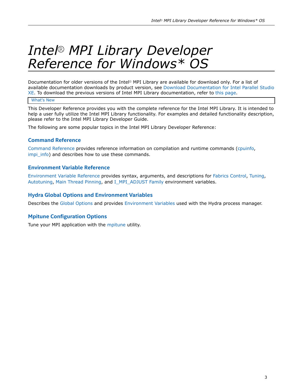# <span id="page-2-0"></span>*Intel® MPI Library Developer Reference for Windows\* OS*

Documentation for older versions of the Intel® MPI Library are available for download only. For a list of available documentation downloads by product version, see [Download Documentation for Intel Parallel Studio](https://software.intel.com/content/www/us/en/develop/articles/download-documentation-intel-parallel-studio-xe-current-previous.html) [XE.](https://software.intel.com/content/www/us/en/develop/articles/download-documentation-intel-parallel-studio-xe-current-previous.html) To download the previous versions of Intel MPI Library documentation, refer to [this page](https://software.intel.com/content/www/us/en/develop/articles/intel-mpi-library-documentation-overview.html).

#### [What's New](#page-3-0)

This Developer Reference provides you with the complete reference for the Intel MPI Library. It is intended to help a user fully utilize the Intel MPI Library functionality. For examples and detailed functionality description, please refer to the Intel MPI Library Developer Guide.

The following are some popular topics in the Intel MPI Library Developer Reference:

#### **Command Reference**

[Command Reference](#page-6-0) provides reference information on compilation and runtime commands ([cpuinfo](#page-16-0), impi info) and describes how to use these commands.

#### **Environment Variable Reference**

[Environment Variable Reference](#page-27-0) provides syntax, arguments, and descriptions for [Fabrics Control,](#page-62-0) [Tuning](#page-43-0), [Autotuning](#page-45-0), [Main Thread Pinning,](#page-49-0) and [I\\_MPI\\_ADJUST Family](#page-35-0) environment variables.

#### **Hydra Global Options and Environment Variables**

Describes th[e Global Options](#page-9-0) and provides [Environment Variables](#page-29-0) used with the Hydra process manager.

#### **Mpitune Configuration Options**

Tune your MPI application with the [mpitune](#page-18-0) utility.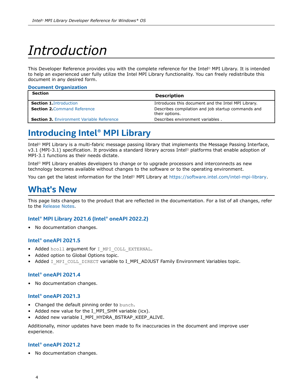# <span id="page-3-0"></span>*Introduction*

**Document Organization**

This Developer Reference provides you with the complete reference for the Intel® MPI Library. It is intended to help an experienced user fully utilize the Intel MPI Library functionality. You can freely redistribute this document in any desired form.

| <b>Section</b>                                   | <b>Description</b>                                                   |
|--------------------------------------------------|----------------------------------------------------------------------|
| <b>Section 1. Introduction</b>                   | Introduces this document and the Intel MPI Library.                  |
| <b>Section 2. Command Reference</b>              | Describes compilation and job startup commands and<br>their options. |
| <b>Section 3. Environment Variable Reference</b> | Describes environment variables.                                     |

# **Introducing Intel® MPI Library**

Intel® MPI Library is a multi-fabric message passing library that implements the Message Passing Interface, v3.1 (MPI-3.1) specification. It provides a standard library across Intel® platforms that enable adoption of MPI-3.1 functions as their needs dictate.

Intel® MPI Library enables developers to change or to upgrade processors and interconnects as new technology becomes available without changes to the software or to the operating environment.

You can get the latest information for the Intel® MPI Library at [https://software.intel.com/intel-mpi-library.](https://software.intel.com/intel-mpi-library)

### **What's New**

This page lists changes to the product that are reflected in the documentation. For a list of all changes, refer to the [Release Notes](https://software.intel.com/content/www/us/en/develop/articles/intel-mpi-library-release-notes.html).

#### **Intel® MPI Library 2021.6 (Intel® oneAPI 2022.2)**

• No documentation changes.

#### **Intel® oneAPI 2021.5**

- Added hcoll argument for I MPI COLL EXTERNAL.
- Added option to Global Options topic.
- Added I\_MPI\_COLL\_DIRECT variable to I\_MPI\_ADJUST Family Environment Variables topic.

#### **Intel® oneAPI 2021.4**

• No documentation changes.

#### **Intel® oneAPI 2021.3**

- Changed the default pinning order to bunch.
- Added new value for the I\_MPI\_SHM variable (icx).
- Added new variable I\_MPI\_HYDRA\_BSTRAP\_KEEP\_ALIVE.

Additionally, minor updates have been made to fix inaccuracies in the document and improve user experience.

#### **Intel® oneAPI 2021.2**

• No documentation changes.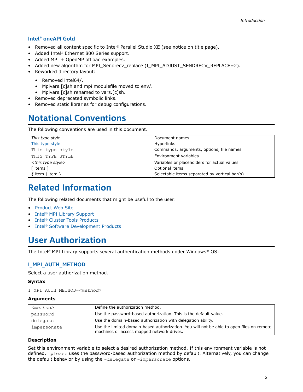#### <span id="page-4-0"></span>**Intel® oneAPI Gold**

- Removed all content specific to Intel® Parallel Studio XE (see notice on title page).
- Added Intel® Ethernet 800 Series support.
- Added MPI + OpenMP offload examples.
- Added new algorithm for MPI\_Sendrecv\_replace (I\_MPI\_ADJUST\_SENDRECV\_REPLACE=2).
- Reworked directory layout:
	- Removed intel64/.
	- Mpivars.[c]sh and mpi modulefile moved to env/.
	- Mpivars.[c]sh renamed to vars.[c]sh.
- Removed deprecated symbolic links.
- Removed static libraries for debug configurations.

# **Notational Conventions**

The following conventions are used in this document.

| This type style                | Document names                                |
|--------------------------------|-----------------------------------------------|
| This type style                | <b>Hyperlinks</b>                             |
| This type style                | Commands, arguments, options, file names      |
| THIS TYPE STYLE                | Environment variables                         |
| <this style="" type=""></this> | Variables or placeholders for actual values   |
| [ items ]                      | Optional items                                |
| $\{$ item   item $\}$          | Selectable items separated by vertical bar(s) |

# **Related Information**

The following related documents that might be useful to the user:

- [Product Web Site](http://www.intel.com/go/mpi)
- Intel® [MPI Library Support](http://www.intel.com/software/products/support/mpi)
- Intel® [Cluster Tools Products](https://software.intel.com/content/www/us/en/develop/tools/parallel-studio-xe.html)
- Intel® [Software Development Products](http://www.intel.com/software/products)

# **User Authorization**

The Intel® MPI Library supports several authentication methods under Windows\* OS:

#### **I\_MPI\_AUTH\_METHOD**

Select a user authorization method.

#### **Syntax**

I\_MPI\_AUTH\_METHOD=*<method>*

#### **Arguments**

| $<$ method $>$ | Define the authorization method.                                                                                                      |
|----------------|---------------------------------------------------------------------------------------------------------------------------------------|
| password       | Use the password-based authorization. This is the default value.                                                                      |
| delegate       | Use the domain-based authorization with delegation ability.                                                                           |
| impersonate    | Use the limited domain-based authorization. You will not be able to open files on remote<br>machines or access mapped network drives. |

#### **Description**

Set this environment variable to select a desired authorization method. If this environment variable is not defined, mpiexec uses the password-based authorization method by default. Alternatively, you can change the default behavior by using the -delegate or -impersonate options.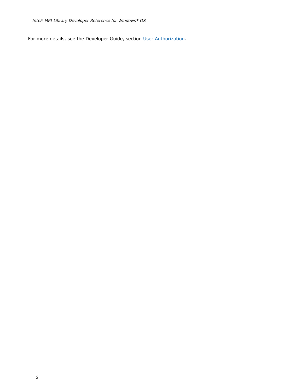For more details, see the Developer Guide, section [User Authorization](https://software.intel.com/content/www/us/en/develop/documentation/mpi-developer-guide-windows/top/installation-and-prerequisites/user-authorization.html).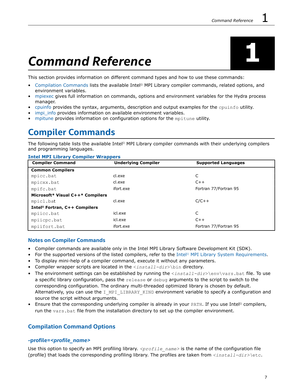# <span id="page-6-0"></span>*Command Reference* **1**

This section provides information on different command types and how to use these commands:

- Compilation Commands lists the available Intel® MPI Library compiler commands, related options, and environment variables.
- [mpiexec](#page-9-0) gives full information on commands, options and environment variables for the Hydra process manager.
- [cpuinfo](#page-16-0) provides the syntax, arguments, description and output examples for the cpuinfo utility.
- [impi\\_info](#page-18-0) provides information on available environment variables.
- [mpitune](#page-18-0) provides information on configuration options for the mpitune utility.

## **Compiler Commands**

The following table lists the available Intel® MPI Library compiler commands with their underlying compilers and programming languages.

| <b>Compiler Command</b>                   | <b>Underlying Compiler</b> | <b>Supported Languages</b> |
|-------------------------------------------|----------------------------|----------------------------|
| <b>Common Compilers</b>                   |                            |                            |
| mpicc.bat                                 | cl.exe                     |                            |
| mpicxx.bat                                | cl.exe                     | $C++$                      |
| mpifc.bat                                 | ifort.exe                  | Fortran 77/Fortran 95      |
| Microsoft* Visual C++* Compilers          |                            |                            |
| mpicl.bat                                 | cl.exe                     | $C/C++$                    |
| Intel <sup>®</sup> Fortran, C++ Compilers |                            |                            |
| mpiicc.bat                                | icl.exe                    | C                          |
| mpiicpc.bat                               | icl.exe                    | $C++$                      |
| mpiifort.bat                              | ifort.exe                  | Fortran 77/Fortran 95      |

#### **Intel MPI Library Compiler Wrappers**

#### **Notes on Compiler Commands**

- Compiler commands are available only in the Intel MPI Library Software Development Kit (SDK).
- For the supported versions of the listed compilers, refer to the Intel® [MPI Library System Requirements.](https://www.intel.com/content/www/us/en/developer/articles/system-requirements/mpi-library-system-requirements.html)
- To display mini-help of a compiler command, execute it without any parameters.
- Compiler wrapper scripts are located in the <*install-dir*>\bin directory.
- The environment settings can be established by running the <*install-dir*>\env\vars.bat file. To use a specific library configuration, pass the release or debug arguments to the script to switch to the corresponding configuration. The ordinary multi-threaded optimized library is chosen by default. Alternatively, you can use the I MPI LIBRARY KIND environment variable to specify a configuration and source the script without arguments.
- Ensure that the corresponding underlying compiler is already in your  $PATH$ . If you use Intel<sup>®</sup> compilers, run the vars.bat file from the installation directory to set up the compiler environment.

#### **Compilation Command Options**

#### **-profile=***<profile\_name>*

Use this option to specify an MPI profiling library. *<profile name>* is the name of the configuration file (profile) that loads the corresponding profiling library. The profiles are taken from *<install-dir>\*etc.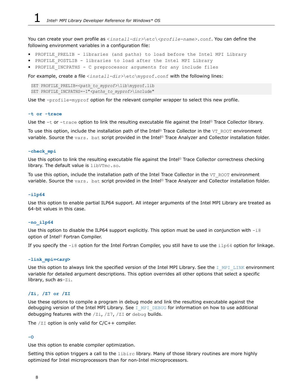You can create your own profile as <*install-dir>*\etc\*<profile-name>*.conf. You can define the following environment variables in a configuration file:

- PROFILE PRELIB libraries (and paths) to load before the Intel MPI Library
- PROFILE POSTLIB libraries to load after the Intel MPI Library
- PROFILE INCPATHS C preprocessor arguments for any include files

For example, create a file <*install-dir>*\etc\myprof.conf with the following lines:

SET PROFILE PRELIB=<path\_to\_myprof>\lib\myprof.lib SET PROFILE\_INCPATHS=-I"*<paths\_to\_myprof>*\include"

Use the -profile=myprof option for the relevant compiler wrapper to select this new profile.

#### **-t or -trace**

Use the -t or -trace option to link the resulting executable file against the Intel® Trace Collector library.

To use this option, include the installation path of the Intel® Trace Collector in the VT\_ROOT environment variable. Source the vars. bat script provided in the Intel® Trace Analyzer and Collector installation folder.

#### **-check\_mpi**

Use this option to link the resulting executable file against the Intel® Trace Collector correctness checking library. The default value is libVTmc.so.

To use this option, include the installation path of the Intel Trace Collector in the VT\_ROOT environment variable. Source the vars. bat script provided in the Intel® Trace Analyzer and Collector installation folder.

#### **-ilp64**

Use this option to enable partial ILP64 support. All integer arguments of the Intel MPI Library are treated as 64-bit values in this case.

#### **-no\_ilp64**

Use this option to disable the ILP64 support explicitly. This option must be used in conjunction with  $-i8$ option of Intel® Fortran Compiler.

If you specify the  $-i8$  option for the Intel Fortran Compiler, you still have to use the  $i1p64$  option for linkage.

#### **-link\_mpi=<***arg***>**

Use this option to always link the specified version of the Intel MPI Library. See the [I\\_MPI\\_LINK](#page-27-0) environment variable for detailed argument descriptions. This option overrides all other options that select a specific library, such as-Zi.

#### **/Zi, /Z7 or /ZI**

Use these options to compile a program in debug mode and link the resulting executable against the debugging version of the Intel MPI Library. See I MPI DEBUG for information on how to use additional debugging features with the /Zi, /Z7, /ZI or debug builds.

The  $/2I$  option is only valid for  $C/C++$  compiler.

#### **-O**

Use this option to enable compiler optimization.

Setting this option triggers a call to the  $\exists$ ibirc library. Many of those library routines are more highly optimized for Intel microprocessors than for non-Intel microprocessors.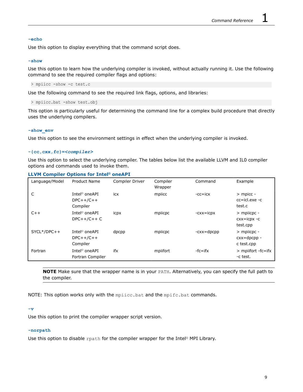#### **-echo**

Use this option to display everything that the command script does.

#### **-show**

Use this option to learn how the underlying compiler is invoked, without actually running it. Use the following command to see the required compiler flags and options:

> mpiicc -show -c test.c

Use the following command to see the required link flags, options, and libraries:

```
> mpiicc.bat -show test.obj
```
This option is particularly useful for determining the command line for a complex build procedure that directly uses the underlying compilers.

#### **-show\_env**

Use this option to see the environment settings in effect when the underlying compiler is invoked.

#### **-{cc,cxx,fc}=***<compiler>*

Use this option to select the underlying compiler. The tables below list the available LLVM and IL0 compiler options and commands used to invoke them.

#### **LLVM Compiler Options for Intel® oneAPI**

| Language/Model | Product Name                                         | Compiler Driver | Compiler<br>Wrapper | Command       | Example                                       |
|----------------|------------------------------------------------------|-----------------|---------------------|---------------|-----------------------------------------------|
| C              | Intel <sup>®</sup> oneAPI<br>$DPC++/C++$<br>Compiler | icx             | mpiicc              | $-cc = icx$   | $>$ mpicc -<br>$cc = id.exe - c$<br>test.c    |
| $C++$          | Intel <sup>®</sup> oneAPI<br>$DPC++/C++C$            | icpx            | mpiicpc             | $-cxx = icpx$ | $>$ mpiicpc -<br>$cxx = icpx -c$<br>test.cpp  |
| $SYCL*/DPC++$  | Intel <sup>®</sup> oneAPI<br>$DPC++/C++$<br>Compiler | dpcpp           | mpiicpc             | $-cxx = dpcp$ | $>$ mpiicpc -<br>$cxx = dpcp$ -<br>c test.cpp |
| Fortran        | Intel <sup>®</sup> oneAPI<br>Fortran Compiler        | ifx             | mpiifort            | $-fc=ifx$     | $>$ mpiifort -fc=ifx<br>-c test.              |

**NOTE** Make sure that the wrapper name is in your PATH. Alternatively, you can specify the full path to the compiler.

NOTE: This option works only with the mpiicc.bat and the mpifc.bat commands.

#### **-v**

Use this option to print the compiler wrapper script version.

#### **-norpath**

Use this option to disable rpath for the compiler wrapper for the Intel® MPI Library.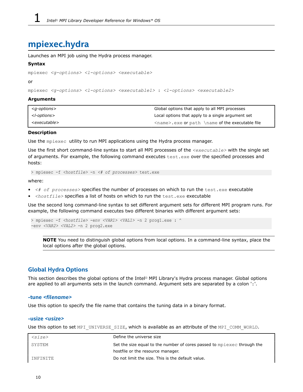# <span id="page-9-0"></span>**mpiexec.hydra**

Launches an MPI job using the Hydra process manager.

#### **Syntax**

```
mpiexec <g-options> <l-options> <executable>
```
or

mpiexec *<g-options> <l-options> <executable1>* : *<l-options> <executable2>*

#### **Arguments**

| <a-options></a-options>   | Global options that apply to all MPI processes         |
|---------------------------|--------------------------------------------------------|
| <l-options></l-options>   | Local options that apply to a single argument set      |
| <executable></executable> | <name>.exe or path \name of the executable file</name> |

#### **Description**

Use the mpiexec utility to run MPI applications using the Hydra process manager.

Use the first short command-line syntax to start all MPI processes of the *<executable>* with the single set of arguments. For example, the following command executes test.exe over the specified processes and hosts:

> mpiexec -f *<hostfile>* -n *<# of processes>* test.exe

where:

- *<# of processes>* specifies the number of processes on which to run the test.exe executable
- <hostfile> specifies a list of hosts on which to run the test.exe executable

Use the second long command-line syntax to set different argument sets for different MPI program runs. For example, the following command executes two different binaries with different argument sets:

```
> mpiexec -f <hostfile> -env <VAR1> <VAL1> -n 2 prog1.exe : ^
-env <VAR2> <VAL2> -n 2 prog2.exe
```
**NOTE** You need to distinguish global options from local options. In a command-line syntax, place the local options after the global options.

#### **Global Hydra Options**

This section describes the global options of the Intel® MPI Library's Hydra process manager. Global options are applied to all arguments sets in the launch command. Argument sets are separated by a colon ':'.

#### **-tune** *<filename>*

Use this option to specify the file name that contains the tuning data in a binary format.

#### **-usize** *<usize>*

Use this option to set MPI\_UNIVERSE\_SIZE, which is available as an attribute of the MPI\_COMM\_WORLD.

| $\langle size \rangle$ | Define the universe size                                                |
|------------------------|-------------------------------------------------------------------------|
| SYSTEM                 | Set the size equal to the number of cores passed to mpiexed through the |
|                        | hostfile or the resource manager.                                       |
| INFINITE               | Do not limit the size. This is the default value.                       |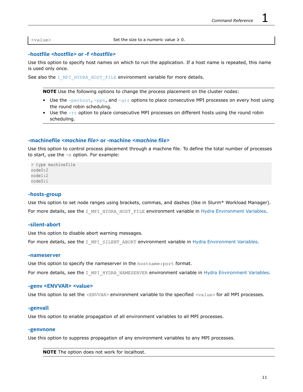<value> Set the size to a numeric value ≥ 0.

#### **-hostfile** *<hostfile>* **or -f** *<hostfile>*

Use this option to specify host names on which to run the application. If a host name is repeated, this name is used only once.

See also the  $I$  MPI\_HYDRA\_HOST\_FILE environment variable for more details.

**NOTE** Use the following options to change the process placement on the cluster nodes:

- Use the  $-perhost$ ,  $-ppn$ , and  $-qrr$  options to place consecutive MPI processes on every host using the round robin scheduling.
- Use the  $-\text{rr}$  option to place consecutive MPI processes on different hosts using the round robin scheduling.

#### **-machinefile** *<machine file>* **or -machine** *<machine file>*

Use this option to control process placement through a machine file. To define the total number of processes to start, use the -n option. For example:

> type machinefile node0:2 node1:2 node0:1

#### **-hosts-group**

Use this option to set node ranges using brackets, commas, and dashes (like in Slurm\* Workload Manager). For more details, see the I\_MPI\_HYDRA\_HOST\_FILE environment variable in [Hydra Environment Variables.](#page-29-0)

#### **-silent-abort**

Use this option to disable abort warning messages.

For more details, see the I\_MPI\_SILENT\_ABORT environment variable in [Hydra Environment Variables.](#page-29-0)

#### **-nameserver**

Use this option to specify the nameserver in the hostname:port format.

For more details, see the I\_MPI\_HYDRA\_NAMESERVER environment variable in [Hydra Environment Variables.](#page-29-0)

#### **-genv <ENVVAR> <value>**

Use this option to set the *<ENVVAR>* environment variable to the specified *<value>* for all MPI processes.

#### **-genvall**

Use this option to enable propagation of all environment variables to all MPI processes.

#### **-genvnone**

Use this option to suppress propagation of any environment variables to any MPI processes.

**NOTE** The option does not work for localhost.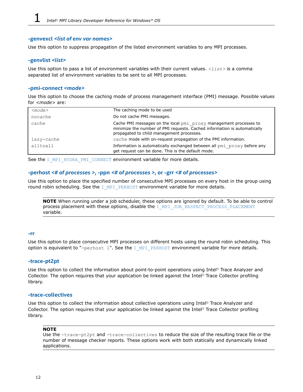#### <span id="page-11-0"></span>**-genvexcl** *<list of env var names>*

Use this option to suppress propagation of the listed environment variables to any MPI processes.

#### **-genvlist** *<list>*

Use this option to pass a list of environment variables with their current values. *<list>* is a comma separated list of environment variables to be sent to all MPI processes.

#### **-pmi-connect** *<mode>*

Use this option to choose the caching mode of process management interface (PMI) message. Possible values for *<mode>* are:

| $<$ mode $>$ | The caching mode to be used                                                                                                                                                                |
|--------------|--------------------------------------------------------------------------------------------------------------------------------------------------------------------------------------------|
| nocache      | Do not cache PMI messages.                                                                                                                                                                 |
| cache        | Cache PMI messages on the local pmi proxy management processes to<br>minimize the number of PMI requests. Cached information is automatically<br>propagated to child management processes. |
| lazy-cache   | cache mode with on-request propagation of the PMI information.                                                                                                                             |
| alltoall     | Information is automatically exchanged between all pmi proxy before any<br>get request can be done. This is the default mode.                                                              |

See the [I\\_MPI\\_HYDRA\\_PMI\\_CONNECT](#page-29-0) environment variable for more details.

#### **-perhost** *<# of processes >***, -ppn** *<# of processes >,* **or -grr** *<# of processes>*

Use this option to place the specified number of consecutive MPI processes on every host in the group using round robin scheduling. See the  $I$  MPI\_PERHOST environment variable for more details.

**NOTE** When running under a job scheduler, these options are ignored by default. To be able to control process placement with these options, disable the [I\\_MPI\\_JOB\\_RESPECT\\_PROCESS\\_PLACEMENT](#page-29-0) variable.

#### **-rr**

Use this option to place consecutive MPI processes on different hosts using the round robin scheduling. This option is equivalent to "-perhost 1". See the I MPI PERHOST environment variable for more details.

#### **-trace-pt2pt**

Use this option to collect the information about point-to-point operations using Intel® Trace Analyzer and Collector. The option requires that your application be linked against the Intel® Trace Collector profiling library.

#### **-trace-collectives**

Use this option to collect the information about collective operations using Intel<sup>®</sup> Trace Analyzer and Collector. The option requires that your application be linked against the Intel® Trace Collector profiling library.

#### **NOTE**

Use the -trace-pt2pt and -trace-collectives to reduce the size of the resulting trace file or the number of message checker reports. These options work with both statically and dynamically linked applications.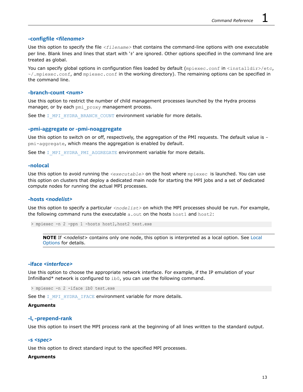#### **-configfile** *<filename>*

Use this option to specify the file *<filename>* that contains the command-line options with one executable per line. Blank lines and lines that start with '#' are ignored. Other options specified in the command line are treated as global.

You can specify global options in configuration files loaded by default (mpiexec.conf in <installdir>/etc,  $\gamma$ , mpiexec.conf, and mpiexec.conf in the working directory). The remaining options can be specified in the command line.

#### **-branch-count** *<num>*

Use this option to restrict the number of child management processes launched by the Hydra process manager, or by each pmi\_proxy management process.

See the [I\\_MPI\\_HYDRA\\_BRANCH\\_COUNT](#page-29-0) environment variable for more details.

#### **-pmi-aggregate or -pmi-noaggregate**

Use this option to switch on or off, respectively, the aggregation of the PMI requests. The default value is pmi-aggregate, which means the aggregation is enabled by default.

See the [I\\_MPI\\_HYDRA\\_PMI\\_AGGREGATE](#page-29-0) environment variable for more details.

#### **-nolocal**

Use this option to avoid running the *<executable>* on the host where mpiexec is launched. You can use this option on clusters that deploy a dedicated main node for starting the MPI jobs and a set of dedicated compute nodes for running the actual MPI processes.

#### **-hosts** *<nodelist>*

Use this option to specify a particular *<nodelist>* on which the MPI processes should be run. For example, the following command runs the executable  $a$ . out on the hosts host1 and host2:

> mpiexec -n 2 -ppn 1 -hosts host1,host2 test.exe

**NOTE** If *<nodelist>* contains only one node, this option is interpreted as a local option. See [Local](#page-15-0) [Options](#page-15-0) for details.

#### **-iface** *<interface>*

Use this option to choose the appropriate network interface. For example, if the IP emulation of your InfiniBand\* network is configured to ib0, you can use the following command.

> mpiexec -n 2 -iface ib0 test.exe

See the [I\\_MPI\\_HYDRA\\_IFACE](#page-29-0) environment variable for more details.

#### **Arguments**

#### **-l, -prepend-rank**

Use this option to insert the MPI process rank at the beginning of all lines written to the standard output.

#### **-s** *<spec>*

Use this option to direct standard input to the specified MPI processes.

#### **Arguments**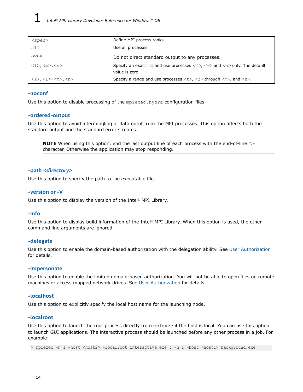| $<$ spec $>$                                                    | Define MPI process ranks                                                                                                                      |
|-----------------------------------------------------------------|-----------------------------------------------------------------------------------------------------------------------------------------------|
| all                                                             | Use all processes.                                                                                                                            |
| none                                                            | Do not direct standard output to any processes.                                                                                               |
| $\langle l \rangle$ , $\langle m \rangle$ , $\langle n \rangle$ | Specify an exact list and use processes $\langle 1 \rangle$ , $\langle m \rangle$ and $\langle n \rangle$ only. The default<br>value is zero. |
| <k>,&lt;1&gt;-<m>,<n></n></m></k>                               | Specify a range and use processes $\langle k \rangle$ , $\langle l \rangle$ through $\langle m \rangle$ , and $\langle n \rangle$ .           |

#### **-noconf**

Use this option to disable processing of the mpiexec.hydra configuration files.

#### **-ordered-output**

Use this option to avoid intermingling of data outut from the MPI processes. This option affects both the standard output and the standard error streams.

**NOTE** When using this option, end the last output line of each process with the end-of-line '\n' character. Otherwise the application may stop responding.

#### **-path** *<directory>*

Use this option to specify the path to the executable file.

#### **-version or -V**

Use this option to display the version of the Intel® MPI Library.

#### **-info**

Use this option to display build information of the Intel® MPI Library. When this option is used, the other command line arguments are ignored.

#### **-delegate**

Use this option to enable the domain-based authorization with the delegation ability. See [User Authorization](#page-4-0) for details.

#### **-impersonate**

Use this option to enable the limited domain-based authorization. You will not be able to open files on remote machines or access mapped network drives. See [User Authorization](#page-4-0) for details.

#### **-localhost**

Use this option to explicitly specify the local host name for the launching node.

#### **-localroot**

Use this option to launch the root process directly from mpiexec if the host is local. You can use this option to launch GUI applications. The interactive process should be launched before any other process in a job. For example:

> mpiexec -n 1 -host <host2> -localroot interactive.exe : -n 1 -host <host1> background.exe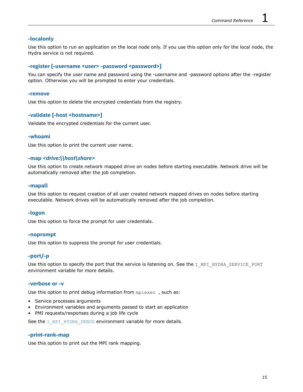#### **-localonly**

Use this option to run an application on the local node only. If you use this option only for the local node, the Hydra service is not required.

#### **-register [-username <user> -password <password>]**

You can specify the user name and password using the -username and -password options after the -register option. Otherwise you will be prompted to enter your credentials.

#### **-remove**

Use this option to delete the encrypted credentials from the registry.

#### **-validate [-host <hostname>]**

Validate the encrypted credentials for the current user.

#### **-whoami**

Use this option to print the current user name.

#### **-map** *<drive:\\host\share>*

Use this option to create network mapped drive on nodes before starting executable. Network drive will be automatically removed after the job completion.

#### **-mapall**

Use this option to request creation of all user created network mapped drives on nodes before starting executable. Network drives will be automatically removed after the job completion.

#### **-logon**

Use this option to force the prompt for user credentials.

#### **-noprompt**

Use this option to suppress the prompt for user credentials.

#### **-port/-p**

Use this option to specify the port that the service is listening on. See the I MPI HYDRA SERVICE PORT environment variable for more details.

#### **-verbose or -v**

Use this option to print debug information from mpiexec , such as:

- Service processes arguments
- Environment variables and arguments passed to start an application
- PMI requests/responses during a job life cycle

See the [I\\_MPI\\_HYDRA\\_DEBUG](#page-29-0) environment variable for more details.

#### **-print-rank-map**

Use this option to print out the MPI rank mapping.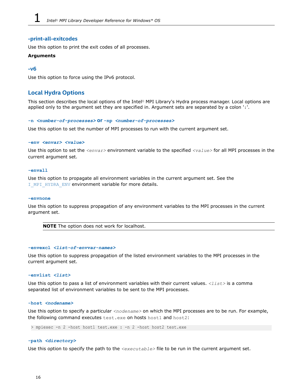#### <span id="page-15-0"></span>**-print-all-exitcodes**

Use this option to print the exit codes of all processes.

#### **Arguments**

#### **-v6**

Use this option to force using the IPv6 protocol.

#### **Local Hydra Options**

This section describes the local options of the Intel® MPI Library's Hydra process manager. Local options are applied only to the argument set they are specified in. Argument sets are separated by a colon ':'.

#### **-n** *<number-of-processes>* **or -np** *<number-of-processes>*

Use this option to set the number of MPI processes to run with the current argument set.

#### **-env** *<envar> <value>*

Use this option to set the *<envar>* environment variable to the specified *<value>* for all MPI processes in the current argument set.

#### **-envall**

Use this option to propagate all environment variables in the current argument set. See the I MPI HYDRA ENV environment variable for more details.

#### **-envnone**

Use this option to suppress propagation of any environment variables to the MPI processes in the current argument set.

**NOTE** The option does not work for localhost.

#### **-envexcl** *<list-of-envvar-names>*

Use this option to suppress propagation of the listed environment variables to the MPI processes in the current argument set.

#### **-envlist** *<list>*

Use this option to pass a list of environment variables with their current values. *<list>* is a comma separated list of environment variables to be sent to the MPI processes.

#### **-host** *<nodename>*

Use this option to specify a particular <nodename> on which the MPI processes are to be run. For example, the following command executes test.exe on hosts host1 and host2:

> mpiexec -n 2 -host host1 test.exe : -n 2 -host host2 test.exe

#### **-path** *<directory>*

Use this option to specify the path to the *<executable>* file to be run in the current argument set.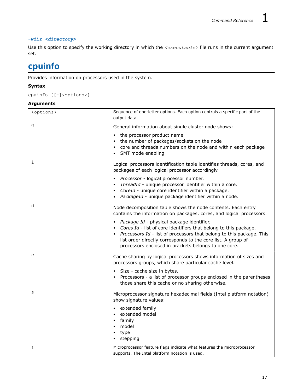#### <span id="page-16-0"></span>**-wdir** *<directory>*

Use this option to specify the working directory in which the *<executable>* file runs in the current argument set.

# **cpuinfo**

Provides information on processors used in the system.

#### **Syntax**

```
cpuinfo [[-]<options>]
```
#### **Arguments**

| <options></options> | Sequence of one-letter options. Each option controls a specific part of the<br>output data.                                                                                                                                                                                                                         |
|---------------------|---------------------------------------------------------------------------------------------------------------------------------------------------------------------------------------------------------------------------------------------------------------------------------------------------------------------|
| g                   | General information about single cluster node shows:                                                                                                                                                                                                                                                                |
|                     | • the processor product name<br>• the number of packages/sockets on the node<br>• core and threads numbers on the node and within each package<br>• SMT mode enabling                                                                                                                                               |
| i                   | Logical processors identification table identifies threads, cores, and<br>packages of each logical processor accordingly.                                                                                                                                                                                           |
|                     | • Processor - logical processor number.<br>ThreadId - unique processor identifier within a core.<br>• CoreId - unique core identifier within a package.<br>• PackageId - unique package identifier within a node.                                                                                                   |
| d                   | Node decomposition table shows the node contents. Each entry<br>contains the information on packages, cores, and logical processors.                                                                                                                                                                                |
|                     | · Package Id - physical package identifier.<br>• Cores Id - list of core identifiers that belong to this package.<br>• Processors Id - list of processors that belong to this package. This<br>list order directly corresponds to the core list. A group of<br>processors enclosed in brackets belongs to one core. |
| C                   | Cache sharing by logical processors shows information of sizes and<br>processors groups, which share particular cache level.                                                                                                                                                                                        |
|                     | • Size - cache size in bytes.<br>• Processors - a list of processor groups enclosed in the parentheses<br>those share this cache or no sharing otherwise.                                                                                                                                                           |
| S                   | Microprocessor signature hexadecimal fields (Intel platform notation)<br>show signature values:                                                                                                                                                                                                                     |
|                     | • extended family<br>• extended model<br>family<br>model<br>• type<br>• stepping                                                                                                                                                                                                                                    |
| f                   | Microprocessor feature flags indicate what features the microprocessor<br>supports. The Intel platform notation is used.                                                                                                                                                                                            |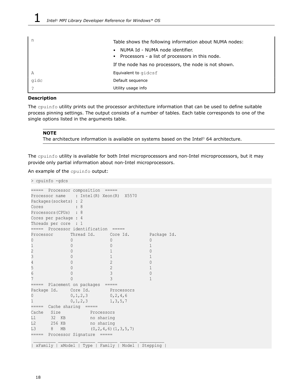|      | Table shows the following information about NUMA nodes:                              |
|------|--------------------------------------------------------------------------------------|
|      | NUMA Id - NUMA node identifier.<br>• Processors - a list of processors in this node. |
|      | If the node has no processors, the node is not shown.                                |
| A    | Equivalent to gidcsf                                                                 |
| gidc | Default sequence                                                                     |
|      | Utility usage info                                                                   |

#### **Description**

The cpuinfo utility prints out the processor architecture information that can be used to define suitable process pinning settings. The output consists of a number of tables. Each table corresponds to one of the single options listed in the arguments table.

#### **NOTE**

The architecture information is available on systems based on the Intel® 64 architecture.

The cpuinfo utility is available for both Intel microprocessors and non-Intel microprocessors, but it may provide only partial information about non-Intel microprocessors.

An example of the cpuinfo output:

> cpuinfo -gdcs

| =====                       | Processor composition =====     |                                                     |              |
|-----------------------------|---------------------------------|-----------------------------------------------------|--------------|
| Processor name              | : Intel(R) Xeon(R) X5570        |                                                     |              |
| Packages (sockets) : 2      |                                 |                                                     |              |
| Cores                       | 8                               |                                                     |              |
| Processors (CPUs) : 8       |                                 |                                                     |              |
| Cores per package : 4       |                                 |                                                     |              |
| Threads per core : 1        |                                 |                                                     |              |
|                             | ===== Processor identification  | $=====$                                             |              |
| Processor Thread Id.        |                                 | Core Id.                                            | Package Id.  |
| 0                           | 0                               | 0                                                   | 0            |
| 1                           | 0                               | 0                                                   | $\mathbf{1}$ |
| $\overline{c}$              | 0                               | 1                                                   | $\Omega$     |
| 3                           | 0                               | $\mathbf{1}$                                        | $\mathbf{1}$ |
| $\overline{4}$              | $\Omega$                        | $\overline{2}$                                      | $\Omega$     |
| 5                           | $\Omega$                        | $\overline{2}$                                      | $\mathbf{1}$ |
| 6                           | $\Omega$                        | 3                                                   | $\Omega$     |
| 7                           | Λ                               | 3                                                   | $\mathbf{1}$ |
| ===== Placement on packages |                                 | $== == ==$                                          |              |
| Package Id.                 | Core Id.                        | Processors                                          |              |
| 0                           | 0, 1, 2, 3                      | 0, 2, 4, 6                                          |              |
| $\mathbf{1}$                | 0, 1, 2, 3                      | 1, 3, 5, 7                                          |              |
| =====                       | Cache sharing =====             |                                                     |              |
| Size<br>Cache               | Processors                      |                                                     |              |
| L1<br>32 KB                 | no sharing                      |                                                     |              |
| L <sub>2</sub><br>256 KB    | no sharing                      |                                                     |              |
| L3<br>8<br>MB               |                                 | $(0, 2, 4, 6)$ $(1, 3, 5, 7)$                       |              |
|                             | ===== Processor Signature ===== |                                                     |              |
|                             |                                 |                                                     |              |
|                             |                                 | xFamily   xModel   Type   Family   Model   Stepping |              |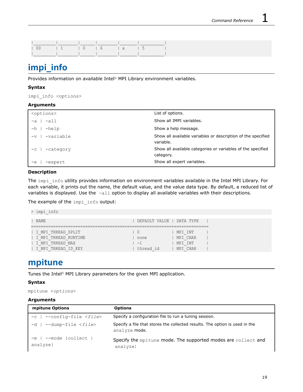<span id="page-18-0"></span>

|  |  | 1 1 10 16 1a 15 |  |
|--|--|-----------------|--|
|  |  |                 |  |

# **impi\_info**

Provides information on available Intel® MPI Library environment variables.

#### **Syntax**

impi\_info <options>

#### **Arguments**

| <options></options> | List of options.                                                          |
|---------------------|---------------------------------------------------------------------------|
| $-all$<br>$-a$      | Show all IMPI variables.                                                  |
| $-$ help<br>$- h$ . | Show a help message.                                                      |
| -variable<br>$-v$   | Show all available variables or description of the specified<br>variable. |
| -category<br>$-c$   | Show all available categories or variables of the specified<br>category.  |
| -expert<br>$-e$     | Show all expert variables.                                                |

#### **Description**

The impi\_info utility provides information on environment variables available in the Intel MPI Library. For each variable, it prints out the name, the default value, and the value data type. By default, a reduced list of variables is displayed. Use the -all option to display all available variables with their descriptions.

The example of the impi info output:

| impi info                                                                             |                                                                                       |  |
|---------------------------------------------------------------------------------------|---------------------------------------------------------------------------------------|--|
| <b>NAME</b>                                                                           | DEFAULT VALUE   DATA TYPE                                                             |  |
| I MPI THREAD SPLIT<br>I MPI THREAD RUNTIME<br>I MPI THREAD MAX<br>I MPI THREAD ID KEY | MPI INT<br>$\vert$ ()<br>MPI CHAR<br>none<br>$-1$<br>MPI INT<br>thread id<br>MPI CHAR |  |

## **mpitune**

Tunes the Intel® MPI Library parameters for the given MPI application.

#### **Syntax**

mpitune <*options*>

#### **Arguments**

| mpitune Options                        | <b>Options</b>                                                                               |
|----------------------------------------|----------------------------------------------------------------------------------------------|
| -c   --config-file <file></file>       | Specify a configuration file to run a tuning session.                                        |
| -d   --dump-file <file></file>         | Specify a file that stores the collected results. The option is used in the<br>analyze mode. |
| $-m$   $-$ mode {collect  <br>analyze} | Specify the mpitune mode. The supported modes are collect and<br>analyze:                    |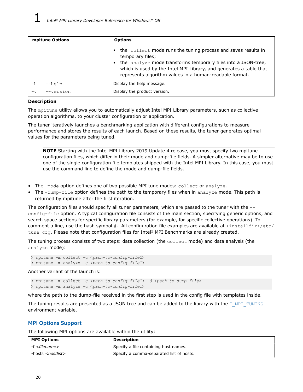| mpitune Options        | <b>Options</b>                                                                                                                                                                                                                                                                                     |
|------------------------|----------------------------------------------------------------------------------------------------------------------------------------------------------------------------------------------------------------------------------------------------------------------------------------------------|
|                        | • the collect mode runs the tuning process and saves results in<br>temporary files;<br>the analyze mode transforms temporary files into a JSON-tree,<br>$\bullet$<br>which is used by the Intel MPI Library, and generates a table that<br>represents algorithm values in a human-readable format. |
| $-\text{help}$<br>$-h$ | Display the help message.                                                                                                                                                                                                                                                                          |
| --version              | Display the product version.                                                                                                                                                                                                                                                                       |

#### **Description**

The mpitune utility allows you to automatically adjust Intel MPI Library parameters, such as collective operation algorithms, to your cluster configuration or application.

The tuner iteratively launches a benchmarking application with different configurations to measure performance and stores the results of each launch. Based on these results, the tuner generates optimal values for the parameters being tuned.

**NOTE** Starting with the Intel MPI Library 2019 Update 4 release, you must specify two mpitune configuration files, which differ in their mode and dump-file fields. A simpler alternative may be to use one of the single configuration file templates shipped with the Intel MPI Library. In this case, you must use the command line to define the mode and dump-file fields.

- The -mode option defines one of two possible MPI tune modes: collect or analyze.
- The -dump-file option defines the path to the temporary files when in analyze mode. This path is returned by mpitune after the first iteration.

The configuration files should specify all tuner parameters, which are passed to the tuner with the - config-file option. A typical configuration file consists of the main section, specifying generic options, and search space sections for specific library parameters (for example, for specific collective operations). To comment a line, use the hash symbol #. All configuration file examples are available at <installdir>/etc/ tune cfg. Please note that configuration files for Intel® MPI Benchmarks are already created.

The tuning process consists of two steps: data collection (the collect mode) and data analysis (the analyze mode):

> mpitune -m collect -c <*path-to-config-file2*> > mpitune -m analyze -c <*path-to-config-file1*>

Another variant of the launch is:

> mpitune -m collect -c <*path-to-config-file1*> -d <*path-to-dump-file*> > mpitune -m analyze -c <*path-to-config-file1*>

where the path to the dump-file received in the first step is used in the config file with templates inside.

The tuning results are presented as a JSON tree and can be added to the library with the I MPI TUNING environment variable.

#### **MPI Options Support**

The following MPI options are available within the utility:

| <b>MPI Options</b>         | <b>Description</b>                       |
|----------------------------|------------------------------------------|
| -f < <i>filename</i> >     | Specify a file containing host names.    |
| -hosts < <i>hostlist</i> > | Specify a comma-separated list of hosts. |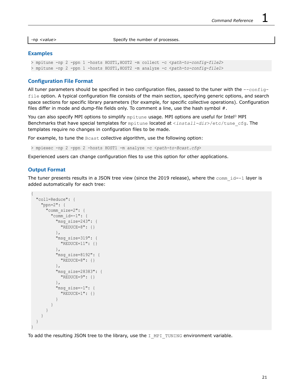-np *<value>* Specify the number of processes.

#### **Examples**

```
> mpitune -np 2 -ppn 1 -hosts HOST1,HOST2 -m collect -c <path-to-config-file2>
> mpitune -np 2 -ppn 1 -hosts HOST1,HOST2 -m analyze -c <path-to-config-file1>
```
#### **Configuration File Format**

All tuner parameters should be specified in two configuration files, passed to the tuner with the  $--$ configfile option. A typical configuration file consists of the main section, specifying generic options, and search space sections for specific library parameters (for example, for specific collective operations). Configuration files differ in mode and dump-file fields only. To comment a line, use the hash symbol  $#$ .

You can also specify MPI options to simplify mpitune usage. MPI options are useful for Intel® MPI Benchmarks that have special templates for mpitune located at <*install-dir*>/etc/tune\_cfg. The templates require no changes in configuration files to be made.

For example, to tune the Bcast collective algorithm, use the following option:

> mpiexec -np 2 -ppn 2 -hosts HOST1 -m analyze -c <*path-to-Bcast.cfg*>

Experienced users can change configuration files to use this option for other applications.

#### **Output Format**

The tuner presents results in a JSON tree view (since the 2019 release), where the  $\text{comm }$  id=-1 layer is added automatically for each tree:

```
{
   "coll=Reduce": {
     "ppn=2": {
      "comm_size=2": {
         "comm_id=-1": {
           "msg_size=243": {
             "REDUCE=8": {}
           },
           "msg_size=319": {
             "REDUCE=11": {}
           },
           "msg_size=8192": {
            "REDUCE=8" : {} },
           "msg_size=28383": {
             "REDUCE=9": {}
           },
           "msg_size=-1": {
             "REDUCE=1": {}
 }
 }
       }
 }
\qquad \qquad}
```
To add the resulting JSON tree to the library, use the I MPI\_TUNING environment variable.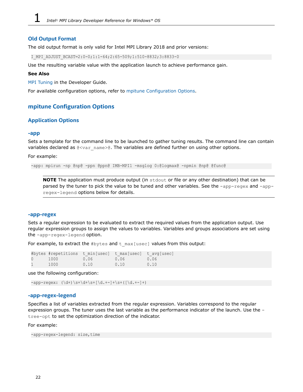#### <span id="page-21-0"></span>**Old Output Format**

The old output format is only valid for Intel MPI Library 2018 and prior versions:

I\_MPI\_ADJUST\_BCAST=2:0-0;1:1-64;2:65-509;1:510-8832;3:8833-0

Use the resulting variable value with the application launch to achieve performance gain.

#### **See Also**

[MPI Tuning](https://software.intel.com/content/www/us/en/develop/documentation/mpi-developer-guide-windows/top/analysis-and-tuning/mpi-tuning.html) in the Developer Guide.

For available configuration options, refer to mpitune Configuration Options.

#### **mpitune Configuration Options**

#### **Application Options**

#### **-app**

Sets a template for the command line to be launched to gather tuning results. The command line can contain variables declared as  $Q < \text{var name} > Q$ . The variables are defined further on using other options.

For example:

```
-app: mpirun -np @np@ -ppn @ppn@ IMB-MPI1 -msglog 0:@logmax@ -npmin @np@ @func@
```
**NOTE** The application must produce output (in stdout or file or any other destination) that can be parsed by the tuner to pick the value to be tuned and other variables. See the -app-regex and -appregex-legend options below for details.

#### **-app-regex**

Sets a regular expression to be evaluated to extract the required values from the application output. Use regular expression groups to assign the values to variables. Variables and groups associations are set using the -app-regex-legend option.

For example, to extract the  $#bytes$  and  $t$  max [usec] values from this output:

|                  | #bytes #repetitions t min[usec] t max[usec] t avg[usec] |      |      |      |
|------------------|---------------------------------------------------------|------|------|------|
| $\left( \right)$ | 1000                                                    | 0.06 | 0.06 | 0.06 |
|                  | 1000                                                    | 0.10 | 0.10 | 0.10 |

use the following configuration:

```
-app\text{-}regex: (\d+)\s+\d+\st{d+}\st{d.+-}+\st{[\ddot{d}.+-]+}
```
#### **-app-regex-legend**

Specifies a list of variables extracted from the regular expression. Variables correspond to the regular expression groups. The tuner uses the last variable as the performance indicator of the launch. Use the tree-opt to set the optimization direction of the indicator.

For example:

-app-regex-legend: size, time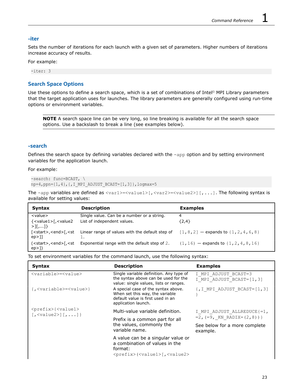#### **-iter**

Sets the number of iterations for each launch with a given set of parameters. Higher numbers of iterations increase accuracy of results.

For example:

-iter: 3

#### **Search Space Options**

Use these options to define a search space, which is a set of combinations of Intel® MPI Library parameters that the target application uses for launches. The library parameters are generally configured using run-time options or environment variables.

**NOTE** A search space line can be very long, so line breaking is available for all the search space options. Use a backslash to break a line (see examples below).

#### **-search**

Defines the search space by defining variables declared with the -app option and by setting environment variables for the application launch.

#### For example:

```
-search: func=BCAST, \
np=4,ppn={1,4},{,I_MPI_ADJUST_BCAST=[1,3]},logmax=5
```
The -app variables are defined as  $\langle \text{var1} \rangle = \langle \text{value1} \rangle$  [,  $\langle \text{var2} \rangle = \langle \text{value2} \rangle$ ] [, ...]. The following syntax is available for setting values:

| <b>Syntax</b>                                                        | <b>Description</b>                                                                                                                                                                              | <b>Examples</b>                              |
|----------------------------------------------------------------------|-------------------------------------------------------------------------------------------------------------------------------------------------------------------------------------------------|----------------------------------------------|
| <value></value>                                                      | Single value. Can be a number or a string.                                                                                                                                                      | 4                                            |
| { <value1>[,<value2}<br><math>&gt;1</math>[,]}</value2}<br></value1> | List of independent values.                                                                                                                                                                     | ${2,4}$                                      |
| [ <start>,<end>[,<st<br>ep&gt;11</st<br></end></start>               | Linear range of values with the default step of<br>1.                                                                                                                                           | $[1, 8, 2]$ - expands to $\{1, 2, 4, 6, 8\}$ |
| $ep>\]$                                                              | ( <start>,<end>[,<st 2.<="" default="" exponential="" of="" range="" step="" td="" the="" with=""><td><math>(1, 16)</math> - expands to <math>\{1, 2, 4, 8, 16\}</math></td></st></end></start> | $(1, 16)$ - expands to $\{1, 2, 4, 8, 16\}$  |

To set environment variables for the command launch, use the following syntax:

| <b>Syntax</b>                                                                                                          | <b>Description</b>                                                                                                                        | <b>Examples</b>                                  |
|------------------------------------------------------------------------------------------------------------------------|-------------------------------------------------------------------------------------------------------------------------------------------|--------------------------------------------------|
| <variable>=<value></value></variable>                                                                                  | Single variable definition. Any type of<br>the syntax above can be used for the<br>value: single values, lists or ranges.                 | I MPI ADJUST BCAST=3<br>I MPI ADJUST BCAST=[1,3] |
| {, <variable>=<value>}</value></variable>                                                                              | A special case of the syntax above.<br>When set this way, the variable<br>default value is first used in an<br>application launch.        | $\{I, I \text{ MPI ADJUST BCAST} = [1, 3]\}$     |
| <prefix>{<value1><br/><math>[</math>, <value2><math>]</math><math>[</math>, <math>]</math>}</value2></value1></prefix> | Multi-value variable definition.                                                                                                          | I MPI ADJUST ALLREDUCE{=1,                       |
|                                                                                                                        | Prefix is a common part for all<br>the values, commonly the<br>variable name.                                                             | $=2$ , $(=9$ , KN RADIX= $(2, 8)$ ) }            |
|                                                                                                                        |                                                                                                                                           | See below for a more complete<br>example.        |
|                                                                                                                        | A value can be a singular value or<br>a combination of values in the<br>format:<br><prefix>(<value1>[,<value2></value2></value1></prefix> |                                                  |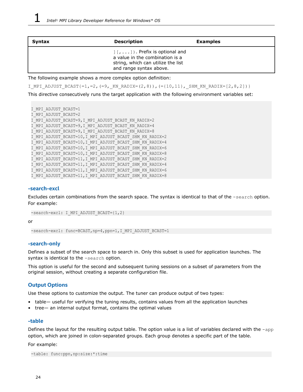| Syntax | <b>Description</b>                                                                                                                         | <b>Examples</b> |
|--------|--------------------------------------------------------------------------------------------------------------------------------------------|-----------------|
|        | $\vert$ [,  ]). Prefix is optional and<br>a value in the combination is a<br>string, which can utilize the list<br>and range syntax above. |                 |

The following example shows a more complex option definition:

I\_MPI\_ADJUST\_BCAST{=1,=2,(=9,\_KN\_RADIX=(2,8)),(={10,11},\_SHM\_KN\_RADIX=[2,8,2])}

This directive consecutively runs the target application with the following environment variables set:

```
I MPI ADJUST BCAST=1
I_MPI_ADJUST_BCAST=2
I MPI ADJUST BCAST=9, I MPI ADJUST BCAST KN RADIX=2
I MPI ADJUST BCAST=9, I MPI ADJUST BCAST KN RADIX=4
I_MPI_ADJUST_BCAST=9,I_MPI_ADJUST_BCAST_KN_RADIX=8
I MPI ADJUST BCAST=10, I MPI ADJUST BCAST SHM KN RADIX=2
I_MPI_ADJUST_BCAST=10,I_MPI_ADJUST_BCAST_SHM_KN_RADIX=4
I_MPI_ADJUST_BCAST=10, I_MPI_ADJUST_BCAST_SHM_KN_RADIX=6
I_MPI_ADJUST_BCAST=10,I_MPI_ADJUST_BCAST_SHM_KN_RADIX=8
I_MPI_ADJUST_BCAST=11,I_MPI_ADJUST_BCAST_SHM_KN_RADIX=2
I_MPI_ADJUST_BCAST=11,I_MPI_ADJUST_BCAST_SHM_KN_RADIX=4
I MPI ADJUST BCAST=11, I MPI ADJUST BCAST SHM KN RADIX=6
I_MPI_ADJUST_BCAST=11,I_MPI_ADJUST_BCAST_SHM_KN_RADIX=8
```
#### **-search-excl**

Excludes certain combinations from the search space. The syntax is identical to that of the -search option. For example:

-search-excl: I MPI ADJUST BCAST={1,2}

or

-search-excl: func=BCAST, np=4, ppn=1, I\_MPI\_ADJUST\_BCAST=1

#### **-search-only**

Defines a subset of the search space to search in. Only this subset is used for application launches. The syntax is identical to the -search option.

This option is useful for the second and subsequent tuning sessions on a subset of parameters from the original session, without creating a separate configuration file.

#### **Output Options**

Use these options to customize the output. The tuner can produce output of two types:

- table— useful for verifying the tuning results, contains values from all the application launches
- tree— an internal output format, contains the optimal values

#### **-table**

Defines the layout for the resulting output table. The option value is a list of variables declared with the -app option, which are joined in colon-separated groups. Each group denotes a specific part of the table.

For example:

-table: func:ppn,np:size:\*:time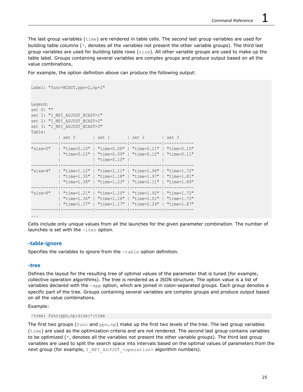The last group variables (time) are rendered in table cells. The second last group variables are used for building table columns (\*, denotes all the variables not present the other variable groups). The third last group variables are used for building table rows (size). All other variable groups are used to make up the table label. Groups containing several variables are complex groups and produce output based on all the value combinations.

For example, the option definition above can produce the following output:

```
Label: "func=BCAST, ppn=2, np=2"
Legend:
set 0: ""
set 1: "I MPI ADJUST BCAST=1"
set 2: "I MPI ADJUST BCAST=2"
set 3: "I MPI ADJUST BCAST=3"
Table:
           | set 0 | set 1 | set 2 | set 3
-----------|-------------|-------------|-------------|------------
"size=0" | "time=0.10" | "time=0.08" | "time=0.11" | "time=0.10"
            | "time=0.12" | "time=0.09" | "time=0.12" | "time=0.11"
                         | | "time=0.10" | |
 -----------|-------------|-------------|-------------|------------
"size=4" | "time=1.12" | "time=1.11" | "time=1.94" | "time=1.72"
            | "time=1.35" | "time=1.18" | "time=1.97" | "time=1.81"
            | "time=1.38" | "time=1.23" | "time=2.11" | "time=1.89"
  -----------|-------------|-------------|-------------|------------
"size=8" | "time=1.21" | "time=1.10" | "time=1.92" | "time=1.72"
           | "time=1.36" | "time=1.16" | "time=2.01" | "time=1.75"
          | "time=1.37" | "time=1.17" | "time=2.24" | "time=1.87"
-----------|-------------|-------------|-------------|------------
...
```
Cells include only unique values from all the launches for the given parameter combination. The number of launches is set with the -iter option.

#### **-table-ignore**

Specifies the variables to ignore from the  $-table$  option definition.

#### **-tree**

Defines the layout for the resulting tree of optimal values of the parameter that is tuned (for example, collective operation algorithms). The tree is rendered as a JSON structure. The option value is a list of variables declared with the -app option, which are joined in colon-separated groups. Each group denotes a specific part of the tree. Groups containing several variables are complex groups and produce output based on all the value combinations.

#### Example:

-tree: func:ppn,np:size:\*:time

The first two groups ( $func$  and  $ppn, np$ ) make up the first two levels of the tree. The last group variables (time) are used as the optimization criteria and are not rendered. The second last group contains variables to be optimized (\*, denotes all the variables not present the other variable groups). The third last group variables are used to split the search space into intervals based on the optimal values of parameters from the next group (for example, I\_MPI\_ADJUST\_<operation> algorithm numbers).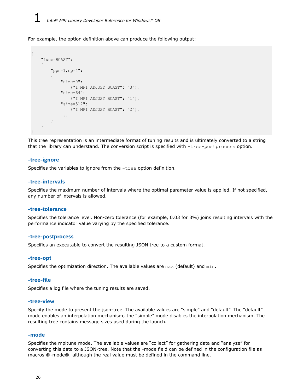For example, the option definition above can produce the following output:

```
{
            "func=BCAST":
             {
                         "ppn=1,np=4":
\left\{ \begin{array}{cc} 0 & 0 & 0 \\ 0 & 0 & 0 \\ 0 & 0 & 0 \\ 0 & 0 & 0 \\ 0 & 0 & 0 \\ 0 & 0 & 0 \\ 0 & 0 & 0 \\ 0 & 0 & 0 \\ 0 & 0 & 0 \\ 0 & 0 & 0 \\ 0 & 0 & 0 \\ 0 & 0 & 0 & 0 \\ 0 & 0 & 0 & 0 \\ 0 & 0 & 0 & 0 \\ 0 & 0 & 0 & 0 & 0 \\ 0 & 0 & 0 & 0 & 0 \\ 0 & 0 & 0 & 0 & 0 \\ 0 & 0 & 0 & 0 & 0 \\ 0 & 0 & 0 & 0 & 0 "size=0":
                                                {"I_MPI_ADJUST_BCAST": "3"},
                                     "size=64":
                                                {"I_MPI_ADJUST_BCAST": "1"},
                                     "size=512":
                                               {"I_MPI_ADJUST_BCAST": "2"},
                                     ...
                        }
            }
}
```
This tree representation is an intermediate format of tuning results and is ultimately converted to a string that the library can understand. The conversion script is specified with -tree-postprocess option.

#### **-tree-ignore**

Specifies the variables to ignore from the -tree option definition.

#### **-tree-intervals**

Specifies the maximum number of intervals where the optimal parameter value is applied. If not specified, any number of intervals is allowed.

#### **-tree-tolerance**

Specifies the tolerance level. Non-zero tolerance (for example, 0.03 for 3%) joins resulting intervals with the performance indicator value varying by the specified tolerance.

#### **-tree-postprocess**

Specifies an executable to convert the resulting JSON tree to a custom format.

#### **-tree-opt**

Specifies the optimization direction. The available values are max (default) and min.

#### **-tree-file**

Specifies a log file where the tuning results are saved.

#### **-tree-view**

Specify the mode to present the json-tree. The available values are "simple" and "default". The "default" mode enables an interpolation mechanism; the "simple" mode disables the interpolation mechanism. The resulting tree contains message sizes used during the launch.

#### **-mode**

Specifies the mpitune mode. The available values are "collect" for gathering data and "analyze" for converting this data to a JSON-tree. Note that the -mode field can be defined in the configuration file as macros @-mode@, although the real value must be defined in the command line.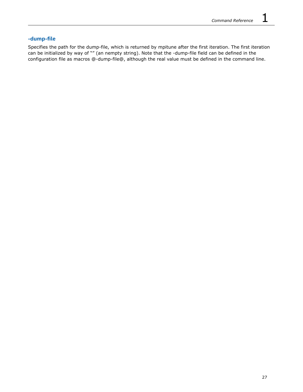#### **-dump-file**

Specifies the path for the dump-file, which is returned by mpitune after the first iteration. The first iteration can be initialized by way of "" (an nempty string). Note that the -dump-file field can be defined in the configuration file as macros @-dump-file@, although the real value must be defined in the command line.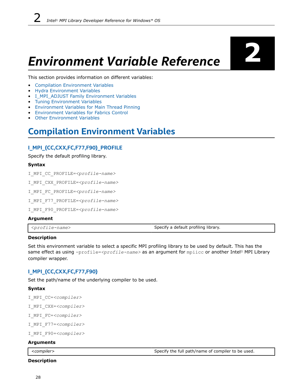# <span id="page-27-0"></span>*Environment Variable Reference* **2**

This section provides information on different variables:

- Compilation Environment Variables
- [Hydra Environment Variables](#page-29-0)
- [I\\_MPI\\_ADJUST Family Environment Variables](#page-35-0)
- [Tuning Environment Variables](#page-43-0)
- [Environment Variables for Main Thread Pinning](#page-50-0)
- [Environment Variables for Fabrics Control](#page-62-0)
- **[Other Environment Variables](#page-66-0)**

## **Compilation Environment Variables**

#### **I\_MPI\_{CC,CXX,FC,F77,F90}\_PROFILE**

Specify the default profiling library.

#### **Syntax**

```
I_MPI_CC_PROFILE=<profile-name>
```
I\_MPI\_CXX\_PROFILE=*<profile-name>*

```
I_MPI_FC_PROFILE=<profile-name>
```
I\_MPI\_F77\_PROFILE=*<profile-name>*

```
I_MPI_F90_PROFILE=<profile-name>
```
#### **Argument**

<*profile-name*> Specify a default profiling library.

#### **Description**

Set this environment variable to select a specific MPI profiling library to be used by default. This has the same effect as using -profile=*<profile-name>* as an argument for mpiicc or another Intel® MPI Library compiler wrapper.

#### **I\_MPI\_{CC,CXX,FC,F77,F90}**

Set the path/name of the underlying compiler to be used.

#### **Syntax**

I\_MPI\_CC=*<compiler>* I\_MPI\_CXX=*<compiler>* I\_MPI\_FC=*<compiler>* I\_MPI\_F77=*<compiler>*

```
I_MPI_F90=<compiler>
```
#### **Arguments**

*<compiler>* Specify the full path/name of compiler to be used.

#### **Description**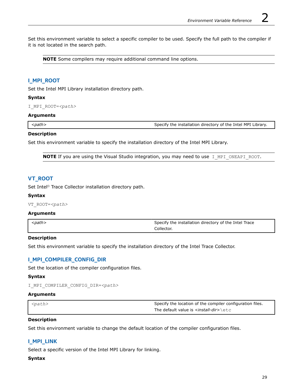Set this environment variable to select a specific compiler to be used. Specify the full path to the compiler if it is not located in the search path.

**NOTE** Some compilers may require additional command line options.

#### **I\_MPI\_ROOT**

Set the Intel MPI Library installation directory path.

#### **Syntax**

I\_MPI\_ROOT=*<path>*

#### **Arguments**

*<path>* Specify the installation directory of the Intel MPI Library.

#### **Description**

Set this environment variable to specify the installation directory of the Intel MPI Library.

**NOTE** If you are using the Visual Studio integration, you may need to use I MPI\_ONEAPI\_ROOT.

#### **VT\_ROOT**

Set Intel® Trace Collector installation directory path.

#### **Syntax**

VT\_ROOT=*<path>*

#### **Arguments**

| $<$ path $>$ | Specify the installation directory of the Intel Trace |
|--------------|-------------------------------------------------------|
|              | Collector.                                            |

#### **Description**

Set this environment variable to specify the installation directory of the Intel Trace Collector.

#### **I\_MPI\_COMPILER\_CONFIG\_DIR**

Set the location of the compiler configuration files.

#### **Syntax**

```
I_MPI_COMPILER_CONFIG_DIR=<path>
```
#### **Arguments**

| $ $ $<$ path> | Specify the location of the compiler configuration files. |
|---------------|-----------------------------------------------------------|
|               | The default value is <install-dir>\etc</install-dir>      |

#### **Description**

Set this environment variable to change the default location of the compiler configuration files.

#### **I\_MPI\_LINK**

Select a specific version of the Intel MPI Library for linking.

#### **Syntax**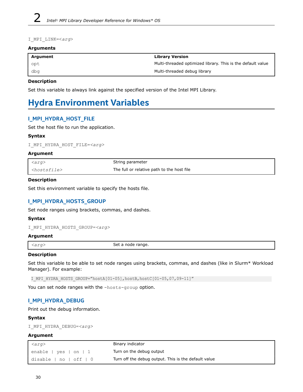<span id="page-29-0"></span>I\_MPI\_LINK=<*arg*>

#### **Arguments**

| Argument | <b>Library Version</b>                                      |
|----------|-------------------------------------------------------------|
| opt      | Multi-threaded optimized library. This is the default value |
| , dbg    | Multi-threaded debug library                                |

#### **Description**

Set this variable to always link against the specified version of the Intel MPI Library.

## **Hydra Environment Variables**

#### **I\_MPI\_HYDRA\_HOST\_FILE**

Set the host file to run the application.

#### **Syntax**

I\_MPI\_HYDRA\_HOST\_FILE=*<arg>*

#### **Argument**

| $\langle arg \rangle$     | String parameter                           |
|---------------------------|--------------------------------------------|
| ` <hostsfile></hostsfile> | The full or relative path to the host file |

#### **Description**

Set this environment variable to specify the hosts file.

#### **I\_MPI\_HYDRA\_HOSTS\_GROUP**

Set node ranges using brackets, commas, and dashes.

#### **Syntax**

I\_MPI\_HYDRA\_HOSTS\_GROUP=*<arg>*

#### **Argument**

*<arg>* Set a node range.

#### **Description**

Set this variable to be able to set node ranges using brackets, commas, and dashes (like in Slurm\* Workload Manager). For example:

I\_MPI\_HYDRA\_HOSTS\_GROUP="hostA[01-05],hostB,hostC[01-05,07,09-11]"

You can set node ranges with the -hosts-group option.

#### **I\_MPI\_HYDRA\_DEBUG**

Print out the debug information.

#### **Syntax**

```
I_MPI_HYDRA_DEBUG=<arg>
```
#### **Argument**

| $\prec$ arg $>$        | Binary indicator                                     |
|------------------------|------------------------------------------------------|
| enable   yes   on   1  | Turn on the debug output                             |
| disable   no   off   0 | Turn off the debug output. This is the default value |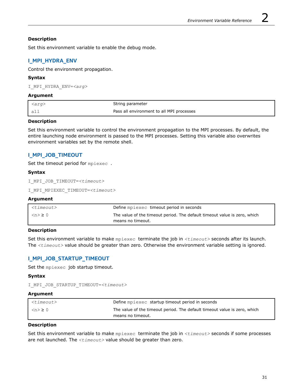#### **Description**

Set this environment variable to enable the debug mode.

#### **I\_MPI\_HYDRA\_ENV**

Control the environment propagation.

#### **Syntax**

I\_MPI\_HYDRA\_ENV=*<arg>*

#### **Argument**

| $\langle arg \rangle$ | String parameter                          |
|-----------------------|-------------------------------------------|
| all                   | Pass all environment to all MPI processes |

#### **Description**

Set this environment variable to control the environment propagation to the MPI processes. By default, the entire launching node environment is passed to the MPI processes. Setting this variable also overwrites environment variables set by the remote shell.

#### **I\_MPI\_JOB\_TIMEOUT**

Set the timeout period for mpiexec.

#### **Syntax**

```
I_MPI_JOB_TIMEOUT=<timeout>
```

```
I_MPI_MPIEXEC_TIMEOUT=<timeout>
```
#### **Argument**

| <timeout></timeout> | Define mpiexec timeout period in seconds                                  |
|---------------------|---------------------------------------------------------------------------|
| $\sim$ $\approx$ 0  | The value of the timeout period. The default timeout value is zero, which |
|                     | means no timeout.                                                         |

#### **Description**

Set this environment variable to make mpiexec terminate the job in *<timeout>* seconds after its launch. The *<timeout>* value should be greater than zero. Otherwise the environment variable setting is ignored.

#### **I\_MPI\_JOB\_STARTUP\_TIMEOUT**

Set the mpiexec job startup timeout.

#### **Syntax**

```
I_MPI_JOB_STARTUP_TIMEOUT=<timeout>
```
#### **Argument**

| <timeout></timeout>        | Define mpiexec startup timeout period in seconds                          |
|----------------------------|---------------------------------------------------------------------------|
| $\langle n \rangle \geq 0$ | The value of the timeout period. The default timeout value is zero, which |
|                            | means no timeout.                                                         |

#### **Description**

Set this environment variable to make mpiexec terminate the job in *<timeout>* seconds if some processes are not launched. The *<timeout>* value should be greater than zero.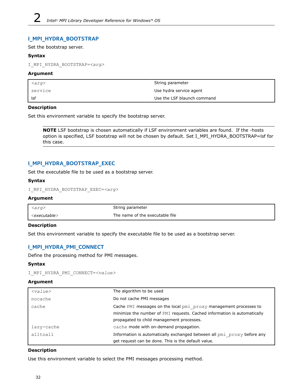#### **I\_MPI\_HYDRA\_BOOTSTRAP**

#### Set the bootstrap server.

#### **Syntax**

I\_MPI\_HYDRA\_BOOTSTRAP=*<arg>*

#### **Argument**

| $\langle arg \rangle$ | String parameter            |
|-----------------------|-----------------------------|
| l service             | Use hydra service agent     |
| l Isf                 | Use the LSF blaunch command |

#### **Description**

Set this environment variable to specify the bootstrap server.

**NOTE** LSF bootstrap is chosen automatically if LSF environment variables are found. If the -hosts option is specified, LSF bootstrap will not be chosen by default. Set I\_MPI\_HYDRA\_BOOTSTRAP=lsf for this case.

#### **I\_MPI\_HYDRA\_BOOTSTRAP\_EXEC**

Set the executable file to be used as a bootstrap server.

#### **Syntax**

```
I_MPI_HYDRA_BOOTSTRAP_EXEC=<arg>
```
#### **Argument**

| <arq></arq>               | String parameter                |
|---------------------------|---------------------------------|
| <executable></executable> | The name of the executable file |

#### **Description**

Set this environment variable to specify the executable file to be used as a bootstrap server.

#### **I\_MPI\_HYDRA\_PMI\_CONNECT**

Define the processing method for PMI messages.

#### **Syntax**

I\_MPI\_HYDRA\_PMI\_CONNECT=*<value>*

#### **Argument**

| $<$ value $>$ | The algorithm to be used                                                 |
|---------------|--------------------------------------------------------------------------|
| nocache       | Do not cache PMI messages                                                |
| cache         | Cache PMI messages on the local pmi proxy management processes to        |
|               | minimize the number of PMI requests. Cached information is automatically |
|               | propagated to child management processes.                                |
| lazy-cache    | cache mode with on-demand propagation.                                   |
| alltoall      | Information is automatically exchanged between all pmi proxy before any  |
|               | get request can be done. This is the default value.                      |

#### **Description**

Use this environment variable to select the PMI messages processing method.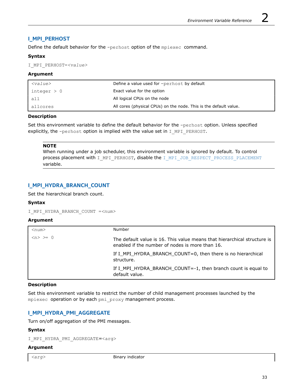#### **I\_MPI\_PERHOST**

Define the default behavior for the -perhost option of the mpiexec command.

#### **Syntax**

I\_MPI\_PERHOST=*<value>*

#### **Argument**

| $<$ value $>$ | Define a value used for -perhost by default                       |
|---------------|-------------------------------------------------------------------|
| integer $> 0$ | Exact value for the option                                        |
| all           | All logical CPUs on the node                                      |
| allcores      | All cores (physical CPUs) on the node. This is the default value. |

#### **Description**

Set this environment variable to define the default behavior for the -perhost option. Unless specified explicitly, the -perhost option is implied with the value set in I\_MPI\_PERHOST.

#### **NOTE**

When running under a job scheduler, this environment variable is ignored by default. To control process placement with I\_MPI\_PERHOST, disable the [I\\_MPI\\_JOB\\_RESPECT\\_PROCESS\\_PLACEMENT](#page-33-0) variable.

#### **I\_MPI\_HYDRA\_BRANCH\_COUNT**

Set the hierarchical branch count.

#### **Syntax**

I\_MPI\_HYDRA\_BRANCH\_COUNT =*<num>*

#### **Argument**

| $<$ num $>$                     | Number                                                                                                                      |
|---------------------------------|-----------------------------------------------------------------------------------------------------------------------------|
| $\langle n \rangle \rangle = 0$ | The default value is 16. This value means that hierarchical structure is<br>enabled if the number of nodes is more than 16. |
|                                 | If I_MPI_HYDRA_BRANCH_COUNT=0, then there is no hierarchical<br>structure.                                                  |
|                                 | If I_MPI_HYDRA_BRANCH_COUNT=-1, then branch count is equal to<br>default value.                                             |

#### **Description**

Set this environment variable to restrict the number of child management processes launched by the mpiexec operation or by each pmi\_proxy management process.

#### **I\_MPI\_HYDRA\_PMI\_AGGREGATE**

Turn on/off aggregation of the PMI messages.

#### **Syntax**

I MPI HYDRA PMI AGGREGATE=<arg>

#### **Argument**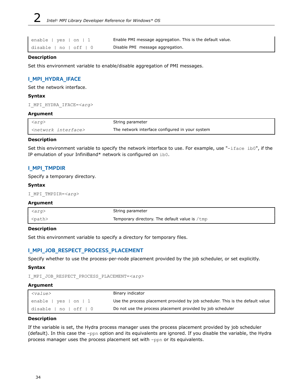<span id="page-33-0"></span>disable | no | off | 0 Disable PMI message aggregation.

enable  $|$  yes  $|$  on  $|$  1 Enable PMI message aggregation. This is the default value.

#### **Description**

Set this environment variable to enable/disable aggregation of PMI messages.

#### **I\_MPI\_HYDRA\_IFACE**

Set the network interface.

#### **Syntax**

I\_MPI\_HYDRA\_IFACE=*<arg>*

#### **Argument**

| . <arq></arq>                    | String parameter                                |
|----------------------------------|-------------------------------------------------|
| <network interface=""></network> | The network interface configured in your system |

#### **Description**

Set this environment variable to specify the network interface to use. For example, use "-iface ib0", if the IP emulation of your InfiniBand\* network is configured on ib0.

#### **I\_MPI\_TMPDIR**

Specify a temporary directory.

#### **Syntax**

I\_MPI\_TMPDIR=*<arg>*

#### **Argument**

| <arq></arq>   | String parameter                                        |
|---------------|---------------------------------------------------------|
| <path></path> | Temporary directory. The default value is $/\text{tmp}$ |

#### **Description**

Set this environment variable to specify a directory for temporary files.

#### **I\_MPI\_JOB\_RESPECT\_PROCESS\_PLACEMENT**

Specify whether to use the process-per-node placement provided by the job scheduler, or set explicitly.

#### **Syntax**

```
I_MPI_JOB_RESPECT_PROCESS_PLACEMENT=<arg>
```
#### **Argument**

| $<$ value $>$          | Binary indicator                                                               |
|------------------------|--------------------------------------------------------------------------------|
| enable   yes   on   1  | Use the process placement provided by job scheduler. This is the default value |
| disable   no   off   0 | Do not use the process placement provided by job scheduler                     |

#### **Description**

If the variable is set, the Hydra process manager uses the process placement provided by job scheduler (default). In this case the -ppn option and its equivalents are ignored. If you disable the variable, the Hydra process manager uses the process placement set with -ppn or its equivalents.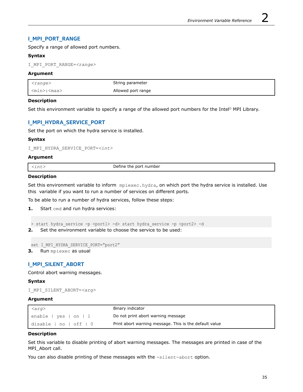#### **I\_MPI\_PORT\_RANGE**

Specify a range of allowed port numbers.

#### **Syntax**

I\_MPI\_PORT\_RANGE=*<range>*

#### **Argument**

| $<$ range $>$           | String parameter   |
|-------------------------|--------------------|
| <min>:<max></max></min> | Allowed port range |

#### **Description**

Set this environment variable to specify a range of the allowed port numbers for the Intel® MPI Library.

#### **I\_MPI\_HYDRA\_SERVICE\_PORT**

Set the port on which the hydra service is installed.

#### **Syntax**

I\_MPI\_HYDRA\_SERVICE\_PORT=*<int>*

#### **Argument**

| $\sim$<br>. | Define the port<br>number<br>.<br>. |
|-------------|-------------------------------------|

#### **Description**

Set this environment variable to inform mpiexec.hydra, on which port the hydra service is installed. Use this variable if you want to run a number of services on different ports.

To be able to run a number of hydra services, follow these steps:

**1.** Start cmd and run hydra services:

```
> start hydra service -p <port1> -d> start hydra service -p <port2> -d
```
**2.** Set the environment variable to choose the service to be used:

```
set I MPI HYDRA SERVICE PORT="port2"
```
**3.** Run mpiexec as usual

#### **I\_MPI\_SILENT\_ABORT**

Control abort warning messages.

#### **Syntax**

```
I_MPI_SILENT_ABORT=<arg>
```
#### **Argument**

| $\vert$ $\langle arg \rangle$          | Binary indicator                                       |
|----------------------------------------|--------------------------------------------------------|
| $l$ enable   yes   on   1              | Do not print abort warning message                     |
| $ $ disable $ $ no $ $ off $ $ $ $ $ $ | Print abort warning message. This is the default value |

#### **Description**

Set this variable to disable printing of abort warning messages. The messages are printed in case of the MPI\_Abort call.

You can also disable printing of these messages with the -silent-abort option.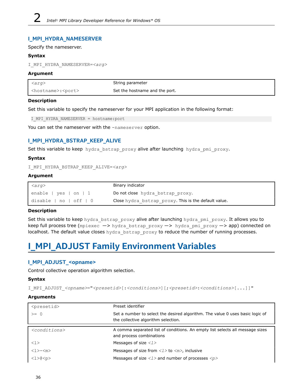#### <span id="page-35-0"></span>**I\_MPI\_HYDRA\_NAMESERVER**

#### Specify the nameserver.

#### **Syntax**

I\_MPI\_HYDRA\_NAMESERVER=*<arg>*

#### **Argument**

| <i><arg></arg></i>                  | String parameter               |
|-------------------------------------|--------------------------------|
| <hostname>:<port></port></hostname> | Set the hostname and the port. |

#### **Description**

Set this variable to specify the nameserver for your MPI application in the following format:

I\_MPI\_HYDRA\_NAMESERVER = hostname:port

You can set the nameserver with the -nameserver option.

#### **I\_MPI\_HYDRA\_BSTRAP\_KEEP\_ALIVE**

Set this variable to keep hydra bstrap\_proxy alive after launching hydra\_pmi\_proxy.

#### **Syntax**

```
I_MPI_HYDRA_BSTRAP_KEEP_ALIVE=<arg>
```
#### **Argument**

| $\vert$ <arg></arg>                    | Binary indicator                                     |
|----------------------------------------|------------------------------------------------------|
| $l$ enable   yes   on   1              | Do not close hydra bstrap proxy.                     |
| $ $ disable $ $ no $ $ off $ $ $ $ $ $ | Close hydra bstrap proxy. This is the default value. |

#### **Description**

Set this variable to keep hydra bstrap\_proxy alive after launching hydra\_pmi\_proxy. It allows you to keep full process tree (mpiexec -> hydra\_bstrap\_proxy -> hydra\_pmi\_proxy -> app) connected on localhost. The default value closes hydra bstrap proxy to reduce the number of running processes.

# **I\_MPI\_ADJUST Family Environment Variables**

#### **I\_MPI\_ADJUST\_<opname>**

Control collective operation algorithm selection.

#### **Syntax**

I\_MPI\_ADJUST\_*<opname>*="*<presetid>*[:*<conditions>*][;*<presetid>*:*<conditions>*[...]]"

#### **Arguments**

| <presetid></presetid>  | Preset identifier                                                                                                    |
|------------------------|----------------------------------------------------------------------------------------------------------------------|
| $>= 0$                 | Set a number to select the desired algorithm. The value 0 uses basic logic of<br>the collective algorithm selection. |
|                        |                                                                                                                      |
| $<$ conditions>        | A comma separated list of conditions. An empty list selects all message sizes<br>and process combinations            |
| $\langle 1 \rangle$    | Messages of size $\langle l \rangle$                                                                                 |
| $<\geq$ $>$ $-<\infty$ | Messages of size from $\langle l \rangle$ to $\langle m \rangle$ , inclusive                                         |
| $<$ 1>@ $<$ p>         | Messages of size $\langle l \rangle$ and number of processes $\langle p \rangle$                                     |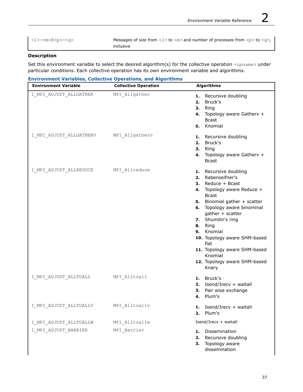<l>-<m>@<p>-<q> Messages of size from *<l>* to *<m>* and number of processes from *<p>* to *<q>*, inclusive

## **Description**

Set this environment variable to select the desired algorithm(s) for the collective operation *<opname>* under particular conditions. Each collective operation has its own environment variable and algorithms.

| <b>Environment Variables, Collective Operations, and Algorithms</b> |  |  |  |
|---------------------------------------------------------------------|--|--|--|

| <b>Environment Variable</b>            | <b>Collective Operation</b> | <b>Algorithms</b>                                                                                                                                                                                                                                                                                                                                                              |
|----------------------------------------|-----------------------------|--------------------------------------------------------------------------------------------------------------------------------------------------------------------------------------------------------------------------------------------------------------------------------------------------------------------------------------------------------------------------------|
| I MPI ADJUST ALLGATHER                 | MPI Allgather               | 1. Recursive doubling<br>2. Bruck's<br>3. Ring<br>Topology aware Gatherv +<br>4.<br><b>Bcast</b><br>5. Knomial                                                                                                                                                                                                                                                                 |
| I MPI ADJUST ALLGATHERV MPI Allgatherv |                             | 1. Recursive doubling<br>2. Bruck's<br>Ring<br>3.<br>4. Topology aware Gatherv +<br><b>Bcast</b>                                                                                                                                                                                                                                                                               |
| I MPI ADJUST ALLREDUCE MPI Allreduce   |                             | 1. Recursive doubling<br>Rabenseifner's<br>2.<br>3. Reduce + Bcast<br>4. Topology aware Reduce +<br><b>Bcast</b><br>5. Binomial gather + scatter<br>6. Topology aware binominal<br>gather + scatter<br>7. Shumilin's ring<br>8. Ring<br>9. Knomial<br>10. Topology aware SHM-based<br>flat<br>11. Topology aware SHM-based<br>Knomial<br>12. Topology aware SHM-based<br>Knary |
| I MPI ADJUST ALLTOALL MPI Alltoall     |                             | 1. Bruck's<br>2. Isend/Irecv + waitall<br>3. Pair wise exchange<br>4. Plum's                                                                                                                                                                                                                                                                                                   |
| I MPI ADJUST ALLTOALLV                 | MPI Alltoallv               | Isend/Irecv + waitall<br>1.<br>Plum's<br>2.                                                                                                                                                                                                                                                                                                                                    |
| I MPI ADJUST ALLTOALLW                 | MPI Alltoallw               | Isend/Irecv + waitall                                                                                                                                                                                                                                                                                                                                                          |
| I MPI ADJUST BARRIER                   | MPI Barrier                 | Dissemination<br>1.<br>Recursive doubling<br>2.<br>Topology aware<br>з.<br>dissemination                                                                                                                                                                                                                                                                                       |

I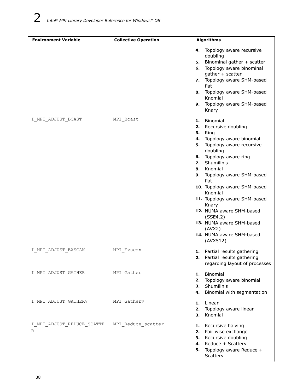| <b>Environment Variable</b>                        | <b>Collective Operation</b> | <b>Algorithms</b>                                                                                                                                                                                                                                                                                                                                                                                                                           |
|----------------------------------------------------|-----------------------------|---------------------------------------------------------------------------------------------------------------------------------------------------------------------------------------------------------------------------------------------------------------------------------------------------------------------------------------------------------------------------------------------------------------------------------------------|
|                                                    |                             | 4. Topology aware recursive<br>doubling<br>5. Binominal gather + scatter<br>6. Topology aware binominal<br>gather + scatter<br>7. Topology aware SHM-based<br>flat<br>8. Topology aware SHM-based<br>Knomial<br>9. Topology aware SHM-based<br>Knary                                                                                                                                                                                        |
| I MPI ADJUST BCAST                                 | MPI Bcast                   | 1. Binomial<br>Recursive doubling<br>2.<br>Ring<br>3.<br>Topology aware binomial<br>4.<br>5. Topology aware recursive<br>doubling<br>6. Topology aware ring<br>7. Shumilin's<br>8. Knomial<br>9. Topology aware SHM-based<br>flat<br>10. Topology aware SHM-based<br>Knomial<br>11. Topology aware SHM-based<br>Knary<br>12. NUMA aware SHM-based<br>(SSE4.2)<br>13. NUMA aware SHM-based<br>(AVX2)<br>14. NUMA aware SHM-based<br>(AVX512) |
| I MPI ADJUST EXSCAN                                | MPI Exscan                  | 1. Partial results gathering<br>2. Partial results gathering<br>regarding layout of processes                                                                                                                                                                                                                                                                                                                                               |
| I MPI ADJUST GATHER                                | MPI_Gather                  | 1. Binomial<br>Topology aware binomial<br>2.<br>3. Shumilin's<br>Binomial with segmentation<br>4.                                                                                                                                                                                                                                                                                                                                           |
| I MPI ADJUST GATHERV                               | MPI Gatherv                 | Linear<br>1.<br>Topology aware linear<br>2.<br>Knomial<br>З.                                                                                                                                                                                                                                                                                                                                                                                |
| I MPI ADJUST REDUCE SCATTE MPI Reduce scatter<br>R |                             | 1. Recursive halving<br>2. Pair wise exchange<br>3. Recursive doubling<br>4. Reduce + Scatterv<br>5. Topology aware Reduce +<br>Scatterv                                                                                                                                                                                                                                                                                                    |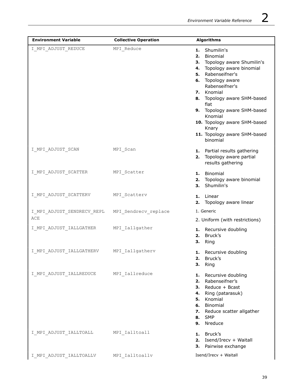| <b>Environment Variable</b>          | <b>Collective Operation</b> | <b>Algorithms</b>                                                                                                                                                                                                                                                                                                                          |
|--------------------------------------|-----------------------------|--------------------------------------------------------------------------------------------------------------------------------------------------------------------------------------------------------------------------------------------------------------------------------------------------------------------------------------------|
| I MPI ADJUST REDUCE                  | MPI Reduce                  | 1. Shumilin's<br>2. Binomial<br>3. Topology aware Shumilin's<br>4. Topology aware binomial<br>5. Rabenseifner's<br>6. Topology aware<br>Rabenseifner's<br>7. Knomial<br>8. Topology aware SHM-based<br>flat<br>9. Topology aware SHM-based<br>Knomial<br>10. Topology aware SHM-based<br>Knary<br>11. Topology aware SHM-based<br>binomial |
| I MPI ADJUST SCAN                    | MPI Scan                    | 1. Partial results gathering<br>2. Topology aware partial<br>results gathering                                                                                                                                                                                                                                                             |
| I_MPI_ADJUST_SCATTER                 | MPI_Scatter                 | 1. Binomial<br>2. Topology aware binomial<br>Shumilin's<br>3.                                                                                                                                                                                                                                                                              |
| I_MPI_ADJUST_SCATTERV                | MPI_Scatterv                | 1. Linear<br>2. Topology aware linear                                                                                                                                                                                                                                                                                                      |
| I_MPI_ADJUST_SENDRECV_REPL<br>ACE    | MPI Sendrecv replace        | 1. Generic                                                                                                                                                                                                                                                                                                                                 |
| I_MPI_ADJUST_IALLGATHER              | MPI Iallgather              | 2. Uniform (with restrictions)<br>1. Recursive doubling<br>Bruck's<br>2.<br>Ring<br>3.                                                                                                                                                                                                                                                     |
| I_MPI_ADJUST_IALLGATHERV             | MPI Iallgatherv             | 1. Recursive doubling<br>2. Bruck's<br>3. Ring                                                                                                                                                                                                                                                                                             |
| I_MPI_ADJUST_IALLREDUCE              | MPI Iallreduce              | 1. Recursive doubling<br>2. Rabenseifner's<br>3. Reduce + Bcast<br>4. Ring (patarasuk)<br>5. Knomial<br>6. Binomial<br>7. Reduce scatter allgather<br><b>8.</b> SMP<br>9. Nreduce                                                                                                                                                          |
| I_MPI_ADJUST_IALLTOALL MPI_Ialltoall |                             | 1. Bruck's<br>2. Isend/Irecv + Waitall<br>Pairwise exchange<br>3.                                                                                                                                                                                                                                                                          |
| I MPI ADJUST IALLTOALLV              | MPI Ialltoallv              | Isend/Irecv + Waitall                                                                                                                                                                                                                                                                                                                      |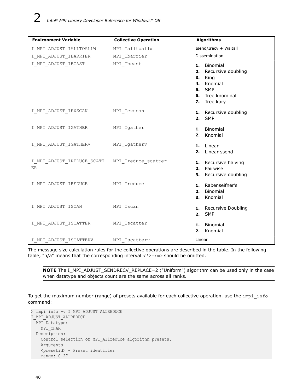| <b>Environment Variable</b>          | <b>Collective Operation</b> | <b>Algorithms</b>                                                                                                  |
|--------------------------------------|-----------------------------|--------------------------------------------------------------------------------------------------------------------|
| I_MPI_ADJUST_IALLTOALLW              | MPI Ialltoallw              | Isend/Irecv + Waitall                                                                                              |
| I_MPI_ADJUST_IBARRIER                | MPI Ibarrier                | Dissemination                                                                                                      |
| I_MPI_ADJUST_IBCAST                  | MPI_Ibcast                  | 1. Binomial<br>2. Recursive doubling<br>3. Ring<br>4. Knomial<br><b>5.</b> SMP<br>6. Tree knominal<br>7. Tree kary |
| I_MPI_ADJUST_IEXSCAN MPI_Iexscan     |                             | 1. Recursive doubling<br><b>2.</b> SMP                                                                             |
| I_MPI_ADJUST_IGATHER MPI_Igather     |                             | 1. Binomial<br>2. Knomial                                                                                          |
| I_MPI_ADJUST_IGATHERV MPI_Igatherv   |                             | 1. Linear<br>2. Linear ssend                                                                                       |
| ER                                   |                             | 1. Recursive halving<br>2. Pairwise<br>3. Recursive doubling                                                       |
| I MPI ADJUST IREDUCE MPI Ireduce     |                             | 1. Rabenseifner's<br>Binomial<br>2.<br>3. Knomial                                                                  |
| I_MPI_ADJUST_ISCAN MPI_Iscan         |                             | 1. Recursive Doubling<br><b>2.</b> SMP                                                                             |
| I_MPI_ADJUST_ISCATTER MPI_Iscatter   |                             | Binomial<br>1.<br>Knomial<br>2.                                                                                    |
| I_MPI_ADJUST_ISCATTERV MPI_Iscatterv |                             | Linear                                                                                                             |

The message size calculation rules for the collective operations are described in the table. In the following table, "n/a" means that the corresponding interval *<l>-<m>* should be omitted.

**NOTE** The I\_MPI\_ADJUST\_SENDRECV\_REPLACE=2 ("Uniform") algorithm can be used only in the case when datatype and objects count are the same across all ranks.

To get the maximum number (range) of presets available for each collective operation, use the impi info command:

```
> impi_info -v I_MPI_ADJUST_ALLREDUCE
I_MPI_ADJUST_ALLREDUCE
  MPI Datatype:
    MPI_CHAR
  Description:
     Control selection of MPI_Allreduce algorithm presets.
     Arguments
     <presetid> - Preset identifier
     range: 0-27
```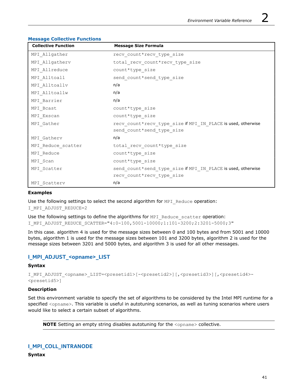| <b>Collective Function</b> | <b>Message Size Formula</b>                                  |
|----------------------------|--------------------------------------------------------------|
| MPI Allgather              | recv count*recv type size                                    |
| MPI Allgatherv             | total recv count*recv type size                              |
| MPI Allreduce              | count*type size                                              |
| MPI Alltoall               | send count*send type size                                    |
| MPI Alltoallv              | n/a                                                          |
| MPI Alltoallw              | n/a                                                          |
| MPI Barrier                | n/a                                                          |
| MPI Bcast                  | count*type size                                              |
| MPI Exscan                 | count*type size                                              |
| MPI Gather                 | recv count*recv type size if MPI IN PLACE is used, otherwise |
|                            | send count*send type size                                    |
| MPI Gatherv                | n/a                                                          |
| MPI Reduce scatter         | total recv count*type size                                   |
| MPI Reduce                 | count*type size                                              |
| MPI Scan                   | count*type size                                              |
| MPI Scatter                | send count*send type size if MPI IN PLACE is used, otherwise |
|                            | recv count*recv type size                                    |
| MPI Scatterv               | n/a                                                          |

#### **Message Collective Functions**

## **Examples**

Use the following settings to select the second algorithm for MPI\_Reduce operation: I MPI ADJUST REDUCE=2

Use the following settings to define the algorithms for MPI\_Reduce\_scatter operation: I\_MPI\_ADJUST\_REDUCE\_SCATTER="4:0-100,5001-10000;1:101-3200;2:3201-5000;3"

In this case. algorithm 4 is used for the message sizes between 0 and 100 bytes and from 5001 and 10000 bytes, algorithm 1 is used for the message sizes between 101 and 3200 bytes, algorithm 2 is used for the message sizes between 3201 and 5000 bytes, and algorithm 3 is used for all other messages.

## **I\_MPI\_ADJUST\_<opname>\_LIST**

## **Syntax**

I\_MPI\_ADJUST\_<opname>\_LIST=<presetid1>[-<presetid2>][,<presetid3>][,<presetid4>-<presetid5>]

#### **Description**

Set this environment variable to specify the set of algorithms to be considered by the Intel MPI runtime for a specified <opname>. This variable is useful in autotuning scenarios, as well as tuning scenarios where users would like to select a certain subset of algorithms.

**NOTE** Setting an empty string disables autotuning for the <opname> collective.

## **I\_MPI\_COLL\_INTRANODE**

**Syntax**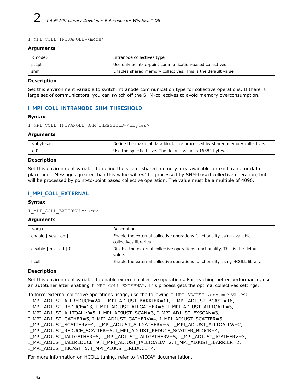#### I\_MPI\_COLL\_INTRANODE=<mode>

#### **Arguments**

| <mode></mode> | Intranode collectives type                                   |
|---------------|--------------------------------------------------------------|
| pt2pt         | Use only point-to-point communication-based collectives      |
| shm           | Enables shared memory collectives. This is the default value |

#### **Description**

Set this environment variable to switch intranode communication type for collective operations. If there is large set of communicators, you can switch off the SHM-collectives to avoid memory overconsumption.

## **I\_MPI\_COLL\_INTRANODE\_SHM\_THRESHOLD**

## **Syntax**

I\_MPI\_COLL\_INTRANODE\_SHM\_THRESHOLD=<nbytes>

#### **Arguments**

| <nbytes></nbytes> | Define the maximal data block size processed by shared memory collectives |
|-------------------|---------------------------------------------------------------------------|
|                   | Use the specified size. The default value is 16384 bytes.                 |

#### **Description**

Set this environment variable to define the size of shared memory area available for each rank for data placement. Messages greater than this value will *not* be processed by SHM-based collective operation, but will be processed by point-to-point based collective operation. The value must be a multiple of 4096.

## **I\_MPI\_COLL\_EXTERNAL**

## **Syntax**

```
I_MPI_COLL_EXTERNAL=<arg>
```
#### **Arguments**

| $<$ arg $>$             | Description                                                                                       |
|-------------------------|---------------------------------------------------------------------------------------------------|
| enable   yes   on   $1$ | Enable the external collective operations functionality using available<br>collectives libraries. |
| disable   no   off   0  | Disable the external collective operations functionality. This is the default<br>value.           |
| hcoll                   | Enable the external collective operations functionality using HCOLL library.                      |

## **Description**

Set this environment variable to enable external collective operations. For reaching better performance, use an autotuner after enabling I\_MPI\_COLL\_EXTERNAL. This process gets the optimal collectives settings.

To force external collective operations usage, use the following I\_MPI\_ADJUST\_<opname> values:

```
I_MPI_ADJUST_ALLREDUCE=24, I_MPI_ADJUST_BARRIER=11, I_MPI_ADJUST_BCAST=16,
```
I\_MPI\_ADJUST\_REDUCE=13, I\_MPI\_ADJUST\_ALLGATHER=6, I\_MPI\_ADJUST\_ALLTOALL=5,

I\_MPI\_ADJUST\_ALLTOALLV=5, I\_MPI\_ADJUST\_SCAN=3, I\_MPI\_ADJUST\_EXSCAN=3,

```
I_MPI_ADJUST_GATHER=5, I_MPI_ADJUST_GATHERV=4, I_MPI_ADJUST_SCATTER=5,
```
I\_MPI\_ADJUST\_SCATTERV=4, I\_MPI\_ADJUST\_ALLGATHERV=5, I\_MPI\_ADJUST\_ALLTOALLW=2,

```
I_MPI_ADJUST_REDUCE_SCATTER=6, I_MPI_ADJUST_REDUCE_SCATTER_BLOCK=4,
```

```
I_MPI_ADJUST_IALLGATHER=5, I_MPI_ADJUST_IALLGATHERV=5, I_MPI_ADJUST_IGATHERV=3,
```
I\_MPI\_ADJUST\_IALLREDUCE=9, I\_MPI\_ADJUST\_IALLTOALLV=2, I\_MPI\_ADJUST\_IBARRIER=2,

```
I_MPI_ADJUST_IBCAST=5, I_MPI_ADJUST_IREDUCE=4.
```
For more information on HCOLL tuning, refer to NVIDIA\* documentation.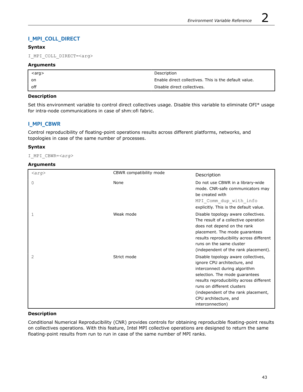# **I\_MPI\_COLL\_DIRECT**

## **Syntax**

I\_MPI\_COLL\_DIRECT=<arg>

## **Arguments**

| $\langle \text{arg}\rangle$ | Description                                           |
|-----------------------------|-------------------------------------------------------|
| on                          | Enable direct collectives. This is the default value. |
| off                         | Disable direct collectives.                           |

## **Description**

Set this environment variable to control direct collectives usage. Disable this variable to eliminate OFI\* usage for intra-node communications in case of shm:ofi fabric.

# **I\_MPI\_CBWR**

Control reproducibility of floating-point operations results across different platforms, networks, and topologies in case of the same number of processes.

## **Syntax**

I\_MPI\_CBWR=*<arg>*

## **Arguments**

| $\langle arg \rangle$ | CBWR compatibility mode | Description                                                                                                                                                                                                                                                                                          |
|-----------------------|-------------------------|------------------------------------------------------------------------------------------------------------------------------------------------------------------------------------------------------------------------------------------------------------------------------------------------------|
| 0                     | None                    | Do not use CBWR in a library-wide<br>mode. CNR-safe communicators may<br>be created with<br>MPI Comm dup with info<br>explicitly. This is the default value.                                                                                                                                         |
| 1                     | Weak mode               | Disable topology aware collectives.<br>The result of a collective operation<br>does not depend on the rank<br>placement. The mode quarantees<br>results reproducibility across different<br>runs on the same cluster<br>(independent of the rank placement).                                         |
| 2                     | Strict mode             | Disable topology aware collectives,<br>ignore CPU architecture, and<br>interconnect during algorithm<br>selection. The mode guarantees<br>results reproducibility across different<br>runs on different clusters<br>(independent of the rank placement,<br>CPU architecture, and<br>interconnection) |

## **Description**

Conditional Numerical Reproducibility (CNR) provides controls for obtaining reproducible floating-point results on collectives operations. With this feature, Intel MPI collective operations are designed to return the same floating-point results from run to run in case of the same number of MPI ranks.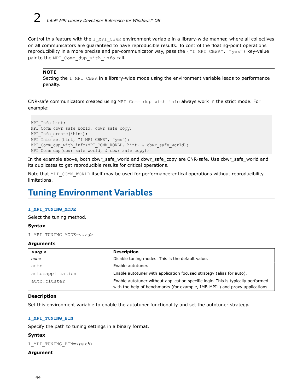<span id="page-43-0"></span>Control this feature with the I MPI CBWR environment variable in a library-wide manner, where all collectives on all communicators are guaranteed to have reproducible results. To control the floating-point operations reproducibility in a more precise and per-communicator way, pass the {"I\_MPI\_CBWR", "yes"} key-value pair to the MPI Comm dup with info call.

#### **NOTE**

Setting the I MPI CBWR in a library-wide mode using the environment variable leads to performance penalty.

CNR-safe communicators created using MPI\_Comm\_dup\_with\_info always work in the strict mode. For example:

```
MPI Info hint;
MPI Comm cbwr safe world, cbwr safe copy;
MPI Info create(&hint);
MPI Info set(hint, "I MPI CBWR", "yes");
MPI Comm dup with info(MPI COMM_WORLD, hint, & cbwr_safe_world);
MPI Comm dup(cbwr_safe_world, & cbwr_safe_copy);
```
In the example above, both cbwr\_safe\_world and cbwr\_safe\_copy are CNR-safe. Use cbwr\_safe\_world and its duplicates to get reproducible results for critical operations.

Note that MPI\_COMM\_WORLD itself may be used for performance-critical operations without reproducibility limitations.

# **Tuning Environment Variables**

#### **I\_MPI\_TUNING\_MODE**

Select the tuning method.

#### **Syntax**

```
I_MPI_TUNING_MODE=<arg>
```
#### **Arguments**

| $\langle \textit{arg} \rangle$ | <b>Description</b>                                                                                                                                              |
|--------------------------------|-----------------------------------------------------------------------------------------------------------------------------------------------------------------|
| none                           | Disable tuning modes. This is the default value.                                                                                                                |
| auto                           | Enable autotuner.                                                                                                                                               |
| auto:application               | Enable autotuner with application focused strategy (alias for auto).                                                                                            |
| auto:cluster                   | Enable autotuner without application specific logic. This is typically performed<br>with the help of benchmarks (for example, IMB-MPI1) and proxy applications. |

#### **Description**

Set this environment variable to enable the autotuner functionality and set the autotuner strategy.

#### **I\_MPI\_TUNING\_BIN**

Specify the path to tuning settings in a binary format.

## **Syntax**

I\_MPI\_TUNING\_BIN=<*path*>

## **Argument**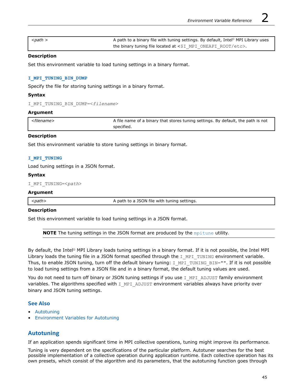| <path></path> | A path to a binary file with tuning settings. By default, Intel <sup>®</sup> MPI Library uses |
|---------------|-----------------------------------------------------------------------------------------------|
|               | the binary tuning file located at <\$I MPI ONEAPI ROOT/etc>.                                  |

## **Description**

Set this environment variable to load tuning settings in a binary format.

#### **I\_MPI\_TUNING\_BIN\_DUMP**

Specify the file for storing tuning settings in a binary format.

#### **Syntax**

```
I_MPI_TUNING_BIN_DUMP=<filename>
```
#### **Argument**

| ' <filename></filename> | A file name of a binary that stores tuning settings. By default, the path is not |
|-------------------------|----------------------------------------------------------------------------------|
|                         | specified.                                                                       |

#### **Description**

Set this environment variable to store tuning settings in binary format.

#### **I\_MPI\_TUNING**

Load tuning settings in a JSON format.

#### **Syntax**

```
I_MPI_TUNING=<path>
```
#### **Argument**

<*path*> A path to a JSON file with tuning settings.

## **Description**

Set this environment variable to load tuning settings in a JSON format.

**NOTE** The tuning settings in the JSON format are produced by the [mpitune](#page-18-0) utility.

By default, the Intel® MPI Library loads tuning settings in a binary format. If it is not possible, the Intel MPI Library loads the tuning file in a JSON format specified through the  $I$  MPI\_TUNING environment variable. Thus, to enable JSON tuning, turn off the default binary tuning: I\_MPI\_TUNING\_BIN="". If it is not possible to load tuning settings from a JSON file and in a binary format, the default tuning values are used.

You do not need to turn off binary or JSON tuning settings if you use I\_MPI\_ADJUST family environment variables. The algorithms specified with I\_MPI\_ADJUST environment variables always have priority over binary and JSON tuning settings.

## **See Also**

- Autotuning
- [Environment Variables for Autotuning](#page-45-0)

## **Autotuning**

If an application spends significant time in MPI collective operations, tuning might improve its performance.

Tuning is very dependent on the specifications of the particular platform. Autotuner searches for the best possible implementation of a collective operation during application runtime. Each collective operation has its own presets, which consist of the algorithm and its parameters, that the autotuning function goes through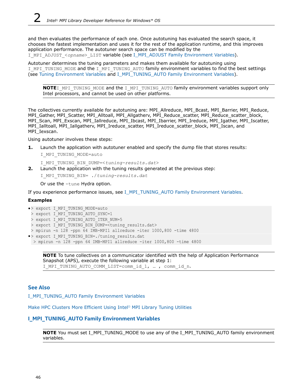<span id="page-45-0"></span>and then evaluates the performance of each one. Once autotuning has evaluated the search space, it chooses the fastest implementation and uses it for the rest of the application runtime, and this improves application performance. The autotuner search space can be modified by the I\_MPI\_ADJUST\_<*opname*>\_LIST variable (see [I\\_MPI\\_ADJUST Family Environment Variables](#page-35-0)).

Autotuner determines the tuning parameters and makes them available for autotuning using I\_MPI\_TUNING\_MODE and the I\_MPI\_TUNING\_AUTO family environment variables to find the best settings (see [Tuning Environment Variables](#page-43-0) and I\_MPI\_TUNING\_AUTO Family Environment Variables).

**NOTE**I\_MPI\_TUNING\_MODE and the I\_MPI\_TUNING\_AUTO family environment variables support only Intel processors, and cannot be used on other platforms.

The collectives currently available for autotuning are: MPI\_Allreduce, MPI\_Bcast, MPI\_Barrier, MPI\_Reduce, MPI\_Gather, MPI\_Scatter, MPI\_Alltoall, MPI\_Allgatherv, MPI\_Reduce\_scatter, MPI\_Reduce\_scatter\_block, MPI\_Scan, MPI\_Exscan, MPI\_Iallreduce, MPI\_Ibcast, MPI\_Ibarrier, MPI\_Ireduce, MPI\_Igather, MPI\_Iscatter, MPI\_Ialltoall, MPI\_Iallgatherv, MPI\_Ireduce\_scatter, MPI\_Ireduce\_scatter\_block, MPI\_Iscan, and MPI\_Iexscan.

Using autotuner involves these steps:

**1.** Launch the application with autotuner enabled and specify the dump file that stores results:

I\_MPI\_TUNING\_MODE=auto

I\_MPI\_TUNING\_BIN\_DUMP=<*tuning-results.dat*>

**2.** Launch the application with the tuning results generated at the previous step:

I\_MPI\_TUNING\_BIN= ./*tuning-results.dat*

Or use the -tune Hydra option.

If you experience performance issues, see I\_MPI\_TUNING\_AUTO Family Environment Variables.

## **Examples**

- •> export I\_MPI\_TUNING\_MODE=auto
- > export I MPI TUNING AUTO SYNC=1
- > export I MPI TUNING AUTO ITER NUM=5
- > export I\_MPI\_TUNING\_BIN DUMP=<tuning results.dat>
- > mpirun -n 128 -ppn 64 IMB-MPI1 allreduce -iter 1000,800 -time 4800
- •> export I\_MPI\_TUNING\_BIN=./tuning\_results.dat

```
 > mpirun -n 128 -ppn 64 IMB-MPI1 allreduce -iter 1000,800 -time 4800
```
**NOTE** To tune collectives on a communicator identified with the help of Application Performance Snapshot (APS), execute the following variable at step 1: I MPI TUNING AUTO COMM LIST=comm id 1, ..., comm id n.

## **See Also**

I\_MPI\_TUNING\_AUTO Family Environment Variables

[Make HPC Clusters More Efficient Using Intel](https://www.intel.com/content/www/us/en/developer/articles/technical/hpc-clusters-more-efficient-mpi-library-tuning.html)® MPI Library Tuning Utilities

## **I\_MPI\_TUNING\_AUTO Family Environment Variables**

**NOTE** You must set I\_MPI\_TUNING\_MODE to use any of the I\_MPI\_TUNING\_AUTO family environment variables.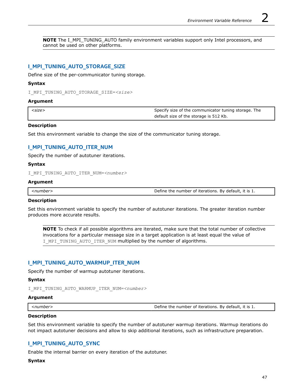**NOTE** The I\_MPI\_TUNING\_AUTO family environment variables support only Intel processors, and cannot be used on other platforms.

## **I\_MPI\_TUNING\_AUTO\_STORAGE\_SIZE**

Define size of the per-communicator tuning storage.

#### **Syntax**

I\_MPI\_TUNING\_AUTO\_STORAGE\_SIZE=*<size>*

#### **Argument**

| <size></size> | Specify size of the communicator tuning storage. The |
|---------------|------------------------------------------------------|
|               | default size of the storage is 512 Kb.               |

## **Description**

Set this environment variable to change the size of the communicator tuning storage.

## **I\_MPI\_TUNING\_AUTO\_ITER\_NUM**

Specify the number of autotuner iterations.

#### **Syntax**

I\_MPI\_TUNING\_AUTO\_ITER\_NUM=*<number>*

#### **Argument**

*<number>* Define the number of iterations. By default, it is 1.

#### **Description**

Set this environment variable to specify the number of autotuner iterations. The greater iteration number produces more accurate results.

**NOTE** To check if all possible algorithms are iterated, make sure that the total number of collective invocations for a particular message size in a target application is at least equal the value of I MPI TUNING AUTO ITER NUM multiplied by the number of algorithms.

## **I\_MPI\_TUNING\_AUTO\_WARMUP\_ITER\_NUM**

Specify the number of warmup autotuner iterations.

#### **Syntax**

I\_MPI\_TUNING\_AUTO\_WARMUP\_ITER\_NUM=*<number>*

#### **Argument**

| <number></number> | Define the number of iterations. By default, it is 1. |
|-------------------|-------------------------------------------------------|
|                   |                                                       |

#### **Description**

Set this environment variable to specify the number of autotuner warmup iterations. Warmup iterations do not impact autotuner decisions and allow to skip additional iterations, such as infrastructure preparation.

## **I\_MPI\_TUNING\_AUTO\_SYNC**

Enable the internal barrier on every iteration of the autotuner.

#### **Syntax**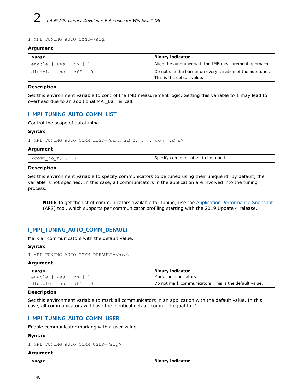```
I_MPI_TUNING_AUTO_SYNC=<arg>
```
#### **Argument**

| $\vert$ <arg></arg>    | <b>Binary indicator</b>                                                                   |
|------------------------|-------------------------------------------------------------------------------------------|
| enable   yes   on   1  | Align the autotuner with the IMB measurement approach.                                    |
| disable   no   off   0 | Do not use the barrier on every iteration of the autotuner.<br>This is the default value. |

## **Description**

Set this environment variable to control the IMB measurement logic. Setting this variable to 1 may lead to overhead due to an additional MPI\_Barrier call.

# **I\_MPI\_TUNING\_AUTO\_COMM\_LIST**

Control the scope of autotuning.

## **Syntax**

I\_MPI\_TUNING\_AUTO\_COMM\_LIST=*<comm\_id\_1, ..., comm\_id\_n>*

## **Argument**

| $\leq$ comm id n, $\ldots$ | Specify communicators to be tuned. |
|----------------------------|------------------------------------|
|----------------------------|------------------------------------|

## **Description**

Set this environment variable to specify communicators to be tuned using their unique id. By default, the variable is not specified. In this case, all communicators in the application are involved into the tuning process.

**NOTE** To get the list of communicators available for tuning, use the [Application Performance Snapshot](https://software.intel.com/sites/products/snapshots/application-snapshot/) (APS) tool, which supports per communicator profiling starting with the 2019 Update 4 release.

## **I\_MPI\_TUNING\_AUTO\_COMM\_DEFAULT**

Mark all communicators with the default value.

## **Syntax**

```
I_MPI_TUNING_AUTO_COMM_DEFAULT=<arg>
```
## **Argument**

| $\langle \textit{arg} \rangle$ | <b>Binary indicator</b>                               |
|--------------------------------|-------------------------------------------------------|
| enable   yes   on   1,         | Mark communicators.                                   |
| disable   no   off   0         | Do not mark communicators. This is the default value. |

## **Description**

Set this environment variable to mark all communicators in an application with the default value. In this case, all communicators will have the identical default comm id equal to  $-1$ .

# **I\_MPI\_TUNING\_AUTO\_COMM\_USER**

Enable communicator marking with a user value.

## **Syntax**

```
I_MPI_TUNING_AUTO_COMM_USER=<arg>
```
## **Argument**

| . .<br>× |
|----------|
|----------|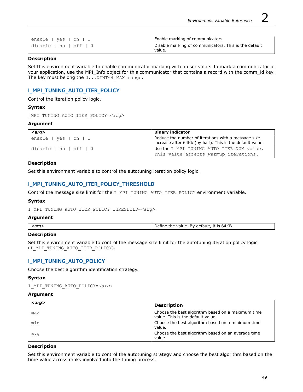| enable   yes   on   1  | Enable marking of communicators.                      |
|------------------------|-------------------------------------------------------|
| disable   no   off   0 | Disable marking of communicators. This is the default |
|                        | value.                                                |

#### **Description**

Set this environment variable to enable communicator marking with a user value. To mark a communicator in your application, use the MPI\_Info object for this communicator that contains a record with the comm\_id key. The key must belong the 0...UINT64 MAX range.

## **I\_MPI\_TUNING\_AUTO\_ITER\_POLICY**

Control the iteration policy logic.

#### **Syntax**

```
_MPI_TUNING_AUTO_ITER_POLICY=<arg>
```
#### **Argument**

| $\langle \textit{arg} \rangle$ | <b>Binary indicator</b>                                                                                          |
|--------------------------------|------------------------------------------------------------------------------------------------------------------|
| enable $ $ yes $ $ on $ $ 1    | Reduce the number of iterations with a message size<br>increase after 64Kb (by half). This is the default value. |
| disable   no   off   0         | Use the I MPI TUNING AUTO ITER NUM value.                                                                        |
|                                | This value affects warmup iterations.                                                                            |

#### **Description**

Set this environment variable to control the autotuning iteration policy logic.

## **I\_MPI\_TUNING\_AUTO\_ITER\_POLICY\_THRESHOLD**

Control the message size limit for the I\_MPI\_TUNING\_AUTO\_ITER\_POLICY environment variable.

#### **Syntax**

I\_MPI\_TUNING\_AUTO\_ITER\_POLICY\_THRESHOLD=*<arg>*

#### **Argument**

*<arg>* Define the value. By default, it is 64KB.

## **Description**

Set this environment variable to control the message size limit for the autotuning iteration policy logic (I\_MPI\_TUNING\_AUTO\_ITER\_POLICY).

## **I\_MPI\_TUNING\_AUTO\_POLICY**

Choose the best algorithm identification strategy.

#### **Syntax**

```
I_MPI_TUNING_AUTO_POLICY=<arg>
```
## **Argument**

| $\langle \textit{arg} \rangle$ | <b>Description</b>                                                                     |
|--------------------------------|----------------------------------------------------------------------------------------|
| max                            | Choose the best algorithm based on a maximum time<br>value. This is the default value. |
| min                            | Choose the best algorithm based on a minimum time<br>value.                            |
| avq                            | Choose the best algorithm based on an average time<br>value.                           |

#### **Description**

Set this environment variable to control the autotuning strategy and choose the best algorithm based on the time value across ranks involved into the tuning process.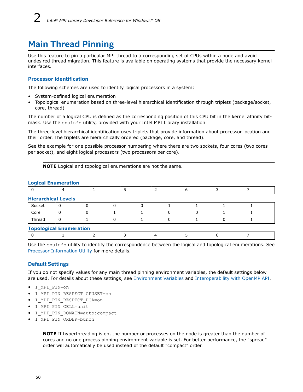# **Main Thread Pinning**

Use this feature to pin a particular MPI thread to a corresponding set of CPUs within a node and avoid undesired thread migration. This feature is available on operating systems that provide the necessary kernel interfaces.

## **Processor Identification**

The following schemes are used to identify logical processors in a system:

- System-defined logical enumeration
- Topological enumeration based on three-level hierarchical identification through triplets (package/socket, core, thread)

The number of a logical CPU is defined as the corresponding position of this CPU bit in the kernel affinity bitmask. Use the cpuinfo utility, provided with your Intel MPI Library installation

The three-level hierarchical identification uses triplets that provide information about processor location and their order. The triplets are hierarchically ordered (package, core, and thread).

See the example for one possible processor numbering where there are two sockets, four cores (two cores per socket), and eight logical processors (two processors per core).

**NOTE** Logical and topological enumerations are not the same.

## **Logical Enumeration**

| LUYILAI LIIUIIICI ALIVII       |   |  |  |  |  |  |  |  |  |
|--------------------------------|---|--|--|--|--|--|--|--|--|
|                                |   |  |  |  |  |  |  |  |  |
| <b>Hierarchical Levels</b>     |   |  |  |  |  |  |  |  |  |
| Socket                         | 0 |  |  |  |  |  |  |  |  |
| Core                           |   |  |  |  |  |  |  |  |  |
| Thread                         |   |  |  |  |  |  |  |  |  |
| <b>Topological Enumeration</b> |   |  |  |  |  |  |  |  |  |
|                                |   |  |  |  |  |  |  |  |  |

Use the cpuinfo utility to identify the correspondence between the logical and topological enumerations. See [Processor Information Utility](#page-16-0) for more details.

## **Default Settings**

If you do not specify values for any main thread pinning environment variables, the default settings below are used. For details about these settings, see [Environment Variables](#page-50-0) and [Interoperability with OpenMP API.](#page-55-0)

- I\_MPI\_PIN=on
- I\_MPI\_PIN\_RESPECT\_CPUSET=on
- I MPI PIN RESPECT HCA=on
- I\_MPI\_PIN\_CELL=unit
- I\_MPI\_PIN\_DOMAIN=auto:compact
- I\_MPI\_PIN\_ORDER=bunch

**NOTE** If hyperthreading is on, the number or processes on the node is greater than the number of cores and no one process pinning environment variable is set. For better performance, the "spread" order will automatically be used instead of the default "compact" order.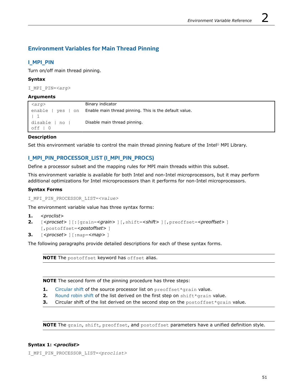# <span id="page-50-0"></span>**Environment Variables for Main Thread Pinning**

## **I\_MPI\_PIN**

Turn on/off main thread pinning.

## **Syntax**

I\_MPI\_PIN=*<arg>*

## **Arguments**

| $\langle arg \rangle$ | Binary indicator                                       |
|-----------------------|--------------------------------------------------------|
| enable<br>on<br>ves   | Enable main thread pinning. This is the default value. |
|                       |                                                        |
| disable<br>no         | Disable main thread pinning.                           |
| off                   |                                                        |

## **Description**

Set this environment variable to control the main thread pinning feature of the Intel® MPI Library.

# **I\_MPI\_PIN\_PROCESSOR\_LIST (I\_MPI\_PIN\_PROCS)**

Define a processor subset and the mapping rules for MPI main threads within this subset.

This environment variable is available for both Intel and non-Intel microprocessors, but it may perform additional optimizations for Intel microprocessors than it performs for non-Intel microprocessors.

## **Syntax Forms**

I\_MPI\_PIN\_PROCESSOR\_LIST=*<value>*

The environment variable value has three syntax forms:

- **1.** *<proclist>*
- **2.** [*<procset>* ][:[grain=*<grain>* ][,shift=*<shift>* ][,preoffset=*<preoffset>* ] [,postoffset=*<postoffset>* ]
- **3.** [*<procset>* ][:map=*<map>* ]

The following paragraphs provide detailed descriptions for each of these syntax forms.

**NOTE** The postoffset keyword has offset alias.

**NOTE** The second form of the pinning procedure has three steps:

- 1. [Circular shift](https://en.wikipedia.org/wiki/Circular_shift) of the source processor list on preoffset\*grain value.
- **2.** [Round robin shift](https://en.wikipedia.org/wiki/Round-robin_scheduling) of the list derived on the first step on shift\*grain value.
- **3.** Circular shift of the list derived on the second step on the postoffset\*grain value.

**NOTE** The grain, shift, preoffset, and postoffset parameters have a unified definition style.

## **Syntax 1:** *<proclist>*

I\_MPI\_PIN\_PROCESSOR\_LIST=*<proclist>*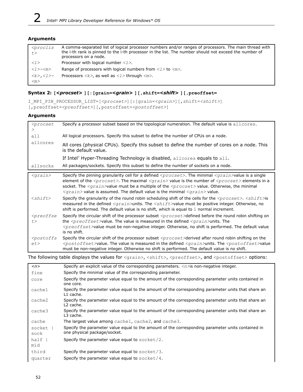## **Arguments**

| <i><proclis< i=""><br/>t &gt;</proclis<></i>        | A comma-separated list of logical processor numbers and/or ranges of processors. The main thread with<br>the i-th rank is pinned to the i-th processor in the list. The number should not exceed the number of<br>processors on a node. |
|-----------------------------------------------------|-----------------------------------------------------------------------------------------------------------------------------------------------------------------------------------------------------------------------------------------|
| $\langle 1 \rangle$                                 | Processor with logical number $\langle 1 \rangle$ .                                                                                                                                                                                     |
| $<\!\!\!1\!\!>$ – $<\!\!m\!\!>$                     | Range of processors with logical numbers from $\langle l \rangle$ to $\langle m \rangle$ .                                                                                                                                              |
| <k>,<l>-<br/><math>\langle m \rangle</math></l></k> | Processors $\langle k \rangle$ , as well as $\langle l \rangle$ through $\langle m \rangle$ .                                                                                                                                           |

## **Syntax 2: [***<procset>* **][:[grain=***<grain>* **][,shift=***<shift>* **][,preoffset=**

```
I_MPI_PIN_PROCESSOR_LIST=[<procset>][:[grain=<grain>][,shift=<shift>]
[,preoffset=<preoffset>][,postoffset=<postoffset>]
```
#### **Arguments**

| <procset< th=""><th>Specify a processor subset based on the topological numeration. The default value is allcores.</th></procset<> | Specify a processor subset based on the topological numeration. The default value is allcores.                                                                                                                                                                                                                                                                                                                                                                                                                            |
|------------------------------------------------------------------------------------------------------------------------------------|---------------------------------------------------------------------------------------------------------------------------------------------------------------------------------------------------------------------------------------------------------------------------------------------------------------------------------------------------------------------------------------------------------------------------------------------------------------------------------------------------------------------------|
| all                                                                                                                                | All logical processors. Specify this subset to define the number of CPUs on a node.                                                                                                                                                                                                                                                                                                                                                                                                                                       |
| allcores                                                                                                                           | All cores (physical CPUs). Specify this subset to define the number of cores on a node. This<br>is the default value.                                                                                                                                                                                                                                                                                                                                                                                                     |
|                                                                                                                                    | If Intel® Hyper-Threading Technology is disabled, allcores equals to all.                                                                                                                                                                                                                                                                                                                                                                                                                                                 |
| allsocks                                                                                                                           | All packages/sockets. Specify this subset to define the number of sockets on a node.                                                                                                                                                                                                                                                                                                                                                                                                                                      |
| $<$ grain $>$                                                                                                                      | Specify the pinning granularity cell for a defined $<$ p $r$ o $c$ set $>$ . The minimal $<$ g $r$ a $in$ $>$ value is a single<br>element of the $<\frac{p}{p}$ The maximal $<\frac{p}{p}$ and $p$ value is the number of $<\frac{p}{p}$ elements in a<br>socket. The <grain>value must be a multiple of the <procset> value. Otherwise, the minimal<br/><math>\langle \text{grain} \rangle</math> value is assumed. The default value is the minimal <math>\langle \text{grain} \rangle</math> value.</procset></grain> |
| $\langle$ shift>                                                                                                                   | Specify the granularity of the round robin scheduling shift of the cells for the <procset>. <shift>is<br/>measured in the defined <math>\langle \text{grain}\rangle</math>units. The <math>\langle \text{shift}\rangle</math>value must be positive integer. Otherwise, no<br/>shift is performed. The default value is no shift, which is equal to <math>1</math> normal increment.</shift></procset>                                                                                                                    |
| <preoffse<br>t &gt;</preoffse<br>                                                                                                  | Specify the circular shift of the processor subset $<$ procset>defined before the round robin shifting on<br>the $<$ preoffset>value. The value is measured in the defined $<$ grain>units. The<br>$<$ preoffset>value must be non-negative integer. Otherwise, no shift is performed. The default value<br>is no shift.                                                                                                                                                                                                  |
| <postoffs<br>et</postoffs<br>                                                                                                      | Specify the circular shift of the processor subset $<$ procset>derived after round robin shifting on the<br>$<$ postoffset>value. The value is measured in the defined $<$ grain>units. The $<$ postoffset>value<br>must be non-negative integer. Otherwise no shift is performed. The default value is no shift.                                                                                                                                                                                                         |

The following table displays the values for <grain>, <shift>, <preoffset>, and <postoffset> options:

| $\langle n \rangle$ | Specify an explicit value of the corresponding parameters. $\langle n \rangle$ is non-negative integer.                     |
|---------------------|-----------------------------------------------------------------------------------------------------------------------------|
| fine                | Specify the minimal value of the corresponding parameter.                                                                   |
| core                | Specify the parameter value equal to the amount of the corresponding parameter units contained in<br>one core.              |
| cache1              | Specify the parameter value equal to the amount of the corresponding parameter units that share an<br>L1 cache.             |
| cache2              | Specify the parameter value equal to the amount of the corresponding parameter units that share an<br>L <sub>2</sub> cache. |
| cache3              | Specify the parameter value equal to the amount of the corresponding parameter units that share an<br>L3 cache.             |
| cache               | The largest value among cache1, cache2, and cache3.                                                                         |
| socket              | Specify the parameter value equal to the amount of the corresponding parameter units contained in                           |
| sock                | one physical package/socket.                                                                                                |
| half                | Specify the parameter value equal to socket/2.                                                                              |
| mid                 |                                                                                                                             |
| third               | Specify the parameter value equal to $\text{socket}/3$ .                                                                    |
| quarter             | Specify the parameter value equal to socket/4.                                                                              |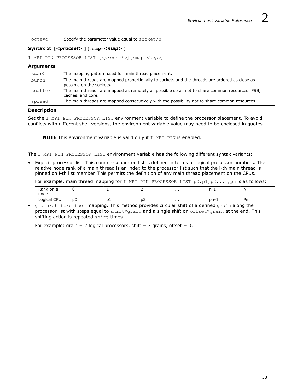octavo Specify the parameter value equal to socket/8.

#### **Syntax 3: [***<procset>* **][:map=***<map>* **]**

I\_MPI\_PIN\_PROCESSOR\_LIST=[*<procset>*][:map=*<map>*]

#### **Arguments**

| $<$ map $>$ | The mapping pattern used for main thread placement.                                                                       |
|-------------|---------------------------------------------------------------------------------------------------------------------------|
| bunch       | The main threads are mapped proportionally to sockets and the threads are ordered as close as<br>possible on the sockets. |
| scatter     | The main threads are mapped as remotely as possible so as not to share common resources: FSB,<br>caches, and core.        |
| spread      | The main threads are mapped consecutively with the possibility not to share common resources.                             |

#### **Description**

Set the I\_MPI\_PIN\_PROCESSOR\_LIST environment variable to define the processor placement. To avoid conflicts with different shell versions, the environment variable value may need to be enclosed in quotes.

**NOTE** This environment variable is valid only if I\_MPI\_PIN is enabled.

The I MPI PIN PROCESSOR LIST environment variable has the following different syntax variants:

• Explicit processor list. This comma-separated list is defined in terms of logical processor numbers. The relative node rank of a main thread is an index to the processor list such that the i-th main thread is pinned on i-th list member. This permits the definition of any main thread placement on the CPUs.

For example, main thread mapping for I\_MPI\_PIN\_PROCESSOR\_LIST=p0,p1,p2,...,pn is as follows:

| Rank on a<br>node |    |   |    | $\cdots$      | $n-$<br>. . | N<br>. .<br>$\cdot$ $\cdot$ |  |
|-------------------|----|---|----|---------------|-------------|-----------------------------|--|
| Logical CPU       | p0 | ∼ | μz | $\sim$ $\sim$ | pn-1        | Pn                          |  |

• grain/shift/offset mapping. This method provides circular shift of a defined grain along the processor list with steps equal to shift\*grain and a single shift on offset\*grain at the end. This shifting action is repeated shift times.

For example: grain = 2 logical processors, shift = 3 grains, offset =  $0$ .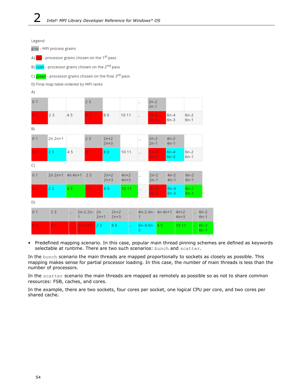Legend:

gray - MPI process grains

| A) red - processor grains chosen on the 1 <sup>st</sup> pass  |                                                          |         |              |        |                  |                  |                  |                         |                  |    |                  |                  |                  |                  |
|---------------------------------------------------------------|----------------------------------------------------------|---------|--------------|--------|------------------|------------------|------------------|-------------------------|------------------|----|------------------|------------------|------------------|------------------|
| B) cyan - processor grains chosen on the 2 <sup>nd</sup> pass |                                                          |         |              |        |                  |                  |                  |                         |                  |    |                  |                  |                  |                  |
|                                                               | C) green - processor grains chosen on the final 3rd pass |         |              |        |                  |                  |                  |                         |                  |    |                  |                  |                  |                  |
|                                                               | D) Final map table ordered by MPI ranks                  |         |              |        |                  |                  |                  |                         |                  |    |                  |                  |                  |                  |
| A)                                                            |                                                          |         |              |        |                  |                  |                  |                         |                  |    |                  |                  |                  |                  |
| 0 <sub>1</sub>                                                |                                                          |         | 23           |        |                  |                  |                  |                         | $2n-2$<br>$2n-1$ |    |                  |                  |                  |                  |
| 0 <sub>1</sub>                                                | 23                                                       | 45      | 67           |        | 89               |                  | 10 11            |                         | $6n-6$<br>$6n-5$ |    | $6n-4$<br>$6n-3$ |                  | $6n-2$<br>$6n-1$ |                  |
| B)                                                            |                                                          |         |              |        |                  |                  |                  |                         |                  |    |                  |                  |                  |                  |
| 0 <sub>1</sub>                                                | $2n 2n+1$                                                |         | 23           |        | $2n+2$<br>$2n+3$ |                  |                  |                         | $2n-2$<br>$2n-1$ |    | $4n-2$<br>$4n-1$ |                  |                  |                  |
| 0 <sub>1</sub>                                                | 23                                                       | 45      | 67           |        | 89               |                  | 10 11            |                         | $6n-6$<br>$6n-5$ |    | $6n-4$<br>$6n-3$ |                  | $6n-2$<br>$6n-1$ |                  |
| C)                                                            |                                                          |         |              |        |                  |                  |                  |                         |                  |    |                  |                  |                  |                  |
| 0 <sub>1</sub>                                                | $2n 2n+1$ 4n 4n+1                                        |         | 23           |        | $2n+2$<br>$2n+3$ |                  | $4n+2$<br>$4n+3$ | $\ddot{\phantom{0}}$    | $2n-2$<br>$2n-1$ |    | $4n-2$<br>$4n-1$ |                  | $6n-2$<br>$6n-1$ |                  |
| 0 <sub>1</sub>                                                | 23                                                       | 45      | 67           |        | 89               |                  | 10 11            |                         | $6n-6$<br>$6n-5$ |    | $6n-4$<br>$6n-3$ |                  | $6n-2$<br>$6n-1$ |                  |
| D)                                                            |                                                          |         |              |        |                  |                  |                  |                         |                  |    |                  |                  |                  |                  |
| 0 <sub>1</sub>                                                | 23                                                       | u.<br>1 | $2n-22n-2n$  | $2n+1$ |                  | $2n+2$<br>$2n+3$ |                  | $4n-2$ 4n- 4n 4n+1<br>1 |                  |    |                  | $4n+2$<br>$4n+3$ |                  | $6n-2$<br>$6n-1$ |
| 0 <sub>1</sub>                                                | 67                                                       | 5.      | $6n-6$ $6n-$ | 23     |                  | 89               |                  | $6n-4$ 6n-<br>3.        |                  | 45 |                  | 10 11            |                  | $6n-2$<br>$6n-1$ |

• Predefined mapping scenario. In this case, popular main thread pinning schemes are defined as keywords selectable at runtime. There are two such scenarios: bunch and scatter.

In the bunch scenario the main threads are mapped proportionally to sockets as closely as possible. This mapping makes sense for partial processor loading. In this case, the number of main threads is less than the number of processors.

In the scatter scenario the main threads are mapped as remotely as possible so as not to share common resources: FSB, caches, and cores.

In the example, there are two sockets, four cores per socket, one logical CPU per core, and two cores per shared cache.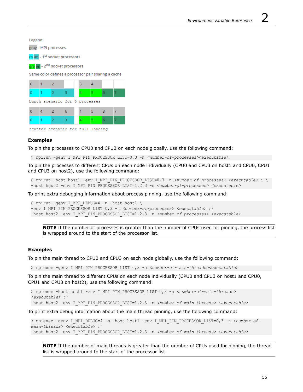Legend:

gray - MPI processes

cy an - 1<sup>st</sup> socket processors

gre en - 2<sup>nd</sup> socket processors

Same color defines a processor pair sharing a cache



scatter scenario for full loading

#### **Examples**

To pin the processes to CPU0 and CPU3 on each node globally, use the following command:

\$ mpirun -genv I\_MPI\_PIN\_PROCESSOR\_LIST=0,3 -n *<number-of-processes><executable>*

To pin the processes to different CPUs on each node individually (CPU0 and CPU3 on host1 and CPU0, CPU1 and CPU3 on host2), use the following command:

\$ mpirun -host host1 -env I\_MPI\_PIN\_PROCESSOR\_LIST=0,3 -n *<number-of-processes> <executable>* : \ -host host2 -env I\_MPI\_PIN\_PROCESSOR\_LIST=1,2,3 -n <number-of-processes> <executable>

To print extra debugging information about process pinning, use the following command:

\$ mpirun -genv I MPI DEBUG=4 -m -host host1 \ -env I\_MPI\_PIN\_PROCESSOR\_LIST=0,3 -n *<number-of-processes> <executable>* :\ -host host2 -env I\_MPI\_PIN\_PROCESSOR\_LIST=1,2,3 -n <number-of-processes> <executable>

**NOTE** If the number of processes is greater than the number of CPUs used for pinning, the process list is wrapped around to the start of the processor list.

#### **Examples**

To pin the main thread to CPU0 and CPU3 on each node globally, use the following command:

> mpiexec -genv I\_MPI\_PIN\_PROCESSOR\_LIST=0,3 -n *<number-of-main-threads><executable>*

To pin the main thread to different CPUs on each node individually (CPU0 and CPU3 on host1 and CPU0, CPU1 and CPU3 on host2), use the following command:

> mpiexec -host host1 -env I\_MPI\_PIN\_PROCESSOR\_LIST=0,3 -n *<number-of-main-threads> <executable>* :^ -host host2 -env I\_MPI\_PIN\_PROCESSOR\_LIST=1,2,3 -n <number-of-main-threads> <executable>

To print extra debug information about the main thread pinning, use the following command:

> mpiexec -genv I MPI DEBUG=4 -m -host host1 -env I MPI PIN PROCESSOR LIST=0,3 -n <number-of*main-threads> <executable>* :^ -host host2 -env I\_MPI\_PIN\_PROCESSOR\_LIST=1,2,3 -n <number-of-main-threads> <executable>

**NOTE** If the number of main threads is greater than the number of CPUs used for pinning, the thread list is wrapped around to the start of the processor list.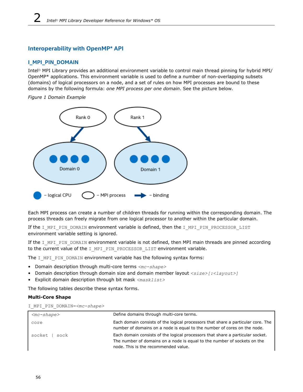# <span id="page-55-0"></span>**Interoperability with OpenMP\* API**

## **I\_MPI\_PIN\_DOMAIN**

Intel® MPI Library provides an additional environment variable to control main thread pinning for hybrid MPI/ OpenMP\* applications. This environment variable is used to define a number of non-overlapping subsets (domains) of logical processors on a node, and a set of rules on how MPI processes are bound to these domains by the following formula: *one MPI process per one domain*. See the picture below.

*Figure 1 Domain Example*



Each MPI process can create a number of children threads for running within the corresponding domain. The process threads can freely migrate from one logical processor to another within the particular domain.

If the I MPI PIN DOMAIN environment variable is defined, then the I MPI PIN PROCESSOR LIST environment variable setting is ignored.

If the I\_MPI\_PIN\_DOMAIN environment variable is not defined, then MPI main threads are pinned according to the current value of the I\_MPI\_PIN\_PROCESSOR\_LIST environment variable.

The I\_MPI\_PIN\_DOMAIN environment variable has the following syntax forms:

- Domain description through multi-core terms *<mc-shape>*
- Domain description through domain size and domain member layout <size>[:<layout>]
- Explicit domain description through bit mask *<masklist>*

The following tables describe these syntax forms.

## **Multi-Core Shape**

|  |  |  | I MPI PIN DOMAIN= <mc-shape></mc-shape> |  |
|--|--|--|-----------------------------------------|--|
|--|--|--|-----------------------------------------|--|

| $<$ mc-shape $>$ | Define domains through multi-core terms.                                                                                                                                                           |
|------------------|----------------------------------------------------------------------------------------------------------------------------------------------------------------------------------------------------|
| core             | Each domain consists of the logical processors that share a particular core. The<br>number of domains on a node is equal to the number of cores on the node.                                       |
| socket  <br>sock | Each domain consists of the logical processors that share a particular socket.<br>The number of domains on a node is equal to the number of sockets on the<br>node. This is the recommended value. |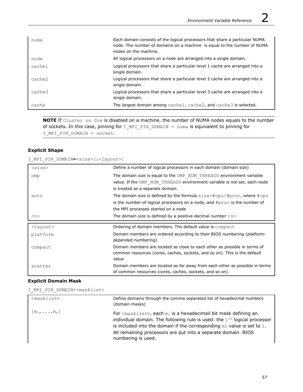| numa   | Each domain consists of the logical processors that share a particular NUMA<br>node. The number of domains on a machine is equal to the number of NUMA<br>nodes on the machine. |
|--------|---------------------------------------------------------------------------------------------------------------------------------------------------------------------------------|
| node   | All logical processors on a node are arranged into a single domain.                                                                                                             |
| cache1 | Logical processors that share a particular level 1 cache are arranged into a<br>single domain.                                                                                  |
| cache2 | Logical processors that share a particular level 2 cache are arranged into a<br>single domain.                                                                                  |
| cache3 | Logical processors that share a particular level 3 cache are arranged into a<br>single domain.                                                                                  |
| cache  | The largest domain among cache1, cache2, and cache3 is selected.                                                                                                                |

**NOTE** If Cluster on Die is disabled on a machine, the number of NUMA nodes equals to the number of sockets. In this case, pinning for  $I_MPI_PIN_DOMAIN = numa$  is equivalent to pinning for I\_MPI\_PIN\_DOMAIN = socket.

## **Explicit Shape**

I\_MPI\_PIN\_DOMAIN**=***<size>[:<layout>]*

| $<$ size $>$        | Define a number of logical processors in each domain (domain size)            |
|---------------------|-------------------------------------------------------------------------------|
| omp                 | The domain size is equal to the OMP NUM THREADS environment variable          |
|                     | value. If the OMP NUM THREADS environment variable is not set, each node      |
|                     | is treated as a separate domain.                                              |
| auto                | The domain size is defined by the formula $size=\#cpu/\#proc$ , where $#cpu$  |
|                     | is the number of logical processors on a node, and $\#$ proc is the number of |
|                     | the MPI processes started on a node                                           |
| $\langle n \rangle$ | The domain size is defined by a positive decimal number $\langle n \rangle$   |
|                     |                                                                               |
|                     |                                                                               |
| $\langle$ layout>   | Ordering of domain members. The default value is compact                      |
| platform            | Domain members are ordered according to their BIOS numbering (platform-       |
|                     | depended numbering)                                                           |
| compact             | Domain members are located as close to each other as possible in terms of     |
|                     | common resources (cores, caches, sockets, and so on). This is the default     |
|                     | value                                                                         |
| scatter             | Domain members are located as far away from each other as possible in terms   |

## **Explicit Domain Mask**

I\_MPI\_PIN\_DOMAIN=<*masklist*>

| $<$ masklist $>$   | Define domains through the comma separated list of hexadecimal numbers<br>(domain masks)                                                                                                                                                                                                                                                   |
|--------------------|--------------------------------------------------------------------------------------------------------------------------------------------------------------------------------------------------------------------------------------------------------------------------------------------------------------------------------------------|
| $[m_1,\ldots,m_n]$ | For $\langle masklist \rangle$ , each $m_i$ is a hexadecimail bit mask defining an<br>individual domain. The following rule is used: the $ith$ logical processor<br>is included into the domain if the corresponding $m\text{i}$ value is set to 1.<br>All remaining processors are put into a separate domain. BIOS<br>numbering is used. |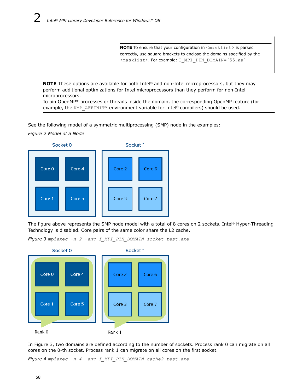**NOTE** To ensure that your configuration in <masklist> is parsed correctly, use square brackets to enclose the domains specified by the <masklist>. For example: I MPI PIN DOMAIN=[55,aa]

**NOTE** These options are available for both Intel<sup>®</sup> and non-Intel microprocessors, but they may perform additional optimizations for Intel microprocessors than they perform for non-Intel microprocessors.

To pin OpenMP\* processes or threads inside the domain, the corresponding OpenMP feature (for example, the KMP\_AFFINITY environment variable for Intel® compilers) should be used.

See the following model of a symmetric multiprocessing (SMP) node in the examples:

*Figure 2 Model of a Node*



The figure above represents the SMP node model with a total of 8 cores on 2 sockets. Intel® Hyper-Threading Technology is disabled. Core pairs of the same color share the L2 cache.

*Figure 3 mpiexec -n 2 -env I\_MPI\_PIN\_DOMAIN socket test.exe*



In Figure 3, two domains are defined according to the number of sockets. Process rank 0 can migrate on all cores on the 0-th socket. Process rank 1 can migrate on all cores on the first socket.

*Figure 4 mpiexec -n 4 -env I\_MPI\_PIN\_DOMAIN cache2 test.exe*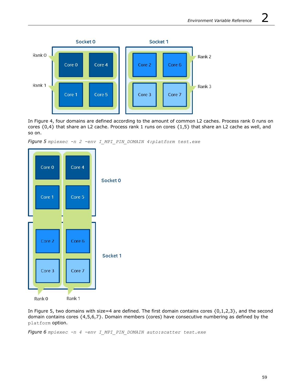

In Figure 4, four domains are defined according to the amount of common L2 caches. Process rank 0 runs on cores  $\{0,4\}$  that share an L2 cache. Process rank 1 runs on cores  $\{1,5\}$  that share an L2 cache as well, and so on.

*Figure 5 mpiexec -n 2 -env I\_MPI\_PIN\_DOMAIN 4:platform test.exe*



In Figure 5, two domains with size=4 are defined. The first domain contains cores  $\{0,1,2,3\}$ , and the second domain contains cores {4,5,6,7}. Domain members (cores) have consecutive numbering as defined by the platform option.

*Figure 6 mpiexec -n 4 -env I\_MPI\_PIN\_DOMAIN auto:scatter test.exe*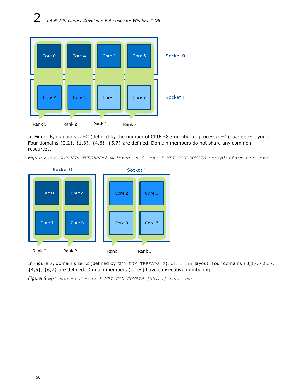

In Figure 6, domain size=2 (defined by the number of CPUs=8 / number of processes=4), scatter layout. Four domains {0,2}, {1,3}, {4,6}, {5,7} are defined. Domain members do not share any common resources.





In Figure 7, domain size=2 (defined by OMP\_NUM\_THREADS=2), platform layout. Four domains {0,1}, {2,3},  ${4,5}, {6,7}$  are defined. Domain members (cores) have consecutive numbering.

*Figure 8 mpiexec -n 2 -env I\_MPI\_PIN\_DOMAIN [55,aa] test.exe*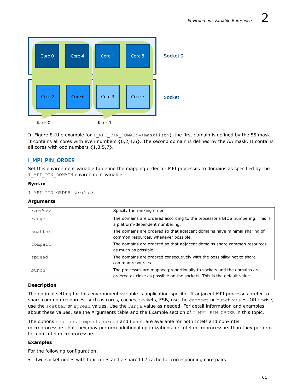

In Figure 8 (the example for I\_MPI\_PIN\_DOMAIN=<masklist>), the first domain is defined by the 55 mask. It contains all cores with even numbers  $\{0,2,4,6\}$ . The second domain is defined by the AA mask. It contains all cores with odd numbers  $\{1,3,5,7\}$ .

# **I\_MPI\_PIN\_ORDER**

Set this environment variable to define the mapping order for MPI processes to domains as specified by the I MPI PIN DOMAIN environment variable.

## **Syntax**

I\_MPI\_PIN\_ORDER=*<order>*

## **Arguments**

| $\langle$ order> | Specify the ranking order                                                                                                                         |
|------------------|---------------------------------------------------------------------------------------------------------------------------------------------------|
| range            | The domains are ordered according to the processor's BIOS numbering. This is<br>a platform-dependent numbering.                                   |
| scatter          | The domains are ordered so that adjacent domains have minimal sharing of<br>common resources, whenever possible.                                  |
| compact          | The domains are ordered so that adjacent domains share common resources<br>as much as possible.                                                   |
| spread           | The domains are ordered consecutively with the possibility not to share<br>common resources.                                                      |
| bunch            | The processes are mapped proportionally to sockets and the domains are<br>ordered as close as possible on the sockets. This is the default value. |

## **Description**

The optimal setting for this environment variable is application-specific. If adjacent MPI processes prefer to share common resources, such as cores, caches, sockets, FSB, use the compact or bunch values. Otherwise, use the scatter or spread values. Use the range value as needed. For detail information and examples about these values, see the Arguments table and the Example section of I MPI PIN ORDER in this topic.

The options scatter, compact, spread and bunch are available for both Intel® and non-Intel microprocessors, but they may perform additional optimizations for Intel microprocessors than they perform for non-Intel microprocessors.

## **Examples**

For the following configuration:

• Two socket nodes with four cores and a shared L2 cache for corresponding core pairs.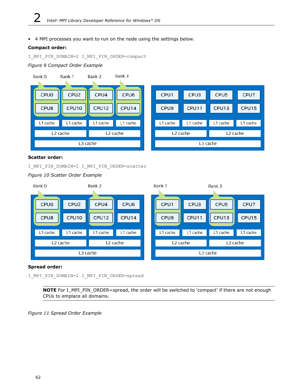• 4 MPI processes you want to run on the node using the settings below.

## **Compact order:**

I\_MPI\_PIN\_DOMAIN=2 I\_MPI\_PIN\_ORDER=compact

## *Figure 9 Compact Order Example*



## **Scatter order:**

I\_MPI\_PIN\_DOMAIN=2 I\_MPI\_PIN\_ORDER=scatter

*Figure 10 Scatter Order Example*



## **Spread order:**

I\_MPI\_PIN\_DOMAIN=2 I\_MPI\_PIN\_ORDER=spread

**NOTE** For I\_MPI\_PIN\_ORDER=spread, the order will be switched to 'compact' if there are not enough CPUs to emplace all domains.

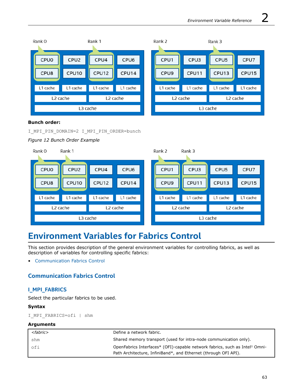| Rank 0   |                      | Rank 1   |          | Rank 2           |                      | Rank 3   |          |
|----------|----------------------|----------|----------|------------------|----------------------|----------|----------|
|          |                      |          |          |                  |                      |          |          |
| CPUO     | CPU <sub>2</sub>     | CPU4     | CPU6     | CPU1             | CPU3                 | CPU5     | CPU7     |
| CPU8     | CPU10                | CPU12    | CPU14    | CPU <sub>9</sub> | CPU11                | CPU13    | CPU15    |
|          |                      |          |          |                  |                      |          |          |
| L1 cache | L1 cache             | L1 cache | L1 cache | L1 cache         | L1 cache             | L1 cache | L1 cache |
|          | L <sub>2</sub> cache |          | L2 cache |                  | L <sub>2</sub> cache |          | L2 cache |
|          |                      | L3 cache |          |                  | L3 cache             |          |          |
|          |                      |          |          |                  |                      |          |          |

## **Bunch order:**

I\_MPI\_PIN\_DOMAIN=2 I\_MPI\_PIN\_ORDER=bunch

## *Figure 12 Bunch Order Example*



# **Environment Variables for Fabrics Control**

This section provides description of the general environment variables for controlling fabrics, as well as description of variables for controlling specific fabrics:

• Communication Fabrics Control

# **Communication Fabrics Control**

## **I\_MPI\_FABRICS**

Select the particular fabrics to be used.

## **Syntax**

I\_MPI\_FABRICS=ofi | shm

## **Arguments**

| <fabric></fabric> | Define a network fabric.                                                                |
|-------------------|-----------------------------------------------------------------------------------------|
| shm               | Shared memory transport (used for intra-node communication only).                       |
| ofi               | OpenFabrics Interfaces* (OFI)-capable network fabrics, such as Intel <sup>®</sup> Omni- |
|                   | Path Architecture, InfiniBand*, and Ethernet (through OFI API).                         |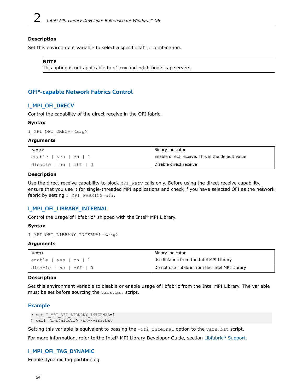## **Description**

Set this environment variable to select a specific fabric combination.

#### **NOTE**

This option is not applicable to slurm and pdsh bootstrap servers.

## **OFI\*-capable Network Fabrics Control**

## **I\_MPI\_OFI\_DRECV**

Control the capability of the direct receive in the OFI fabric.

## **Syntax**

```
I_MPI_OFI_DRECV=<arg>
```
## **Arguments**

| $\langle \textit{arg} \rangle$                       | Binary indicator                                 |
|------------------------------------------------------|--------------------------------------------------|
| $l$ enable   yes   on   1                            | Enable direct receive. This is the default value |
| $\lceil$ disable $\lceil$ no $\lceil$ off $\lceil$ 0 | Disable direct receive                           |

## **Description**

Use the direct receive capability to block MPI\_Recv calls only. Before using the direct receive capability, ensure that you use it for single-threaded MPI applications and check if you have selected OFI as the network fabric by setting I MPI FABRICS=ofi.

## **I\_MPI\_OFI\_LIBRARY\_INTERNAL**

Control the usage of libfabric\* shipped with the Intel® MPI Library.

## **Syntax**

```
I_MPI_OFI_LIBRARY_INTERNAL=<arg>
```
## **Arguments**

| $\langle \textit{arg} \rangle$ | Binary indicator                                |
|--------------------------------|-------------------------------------------------|
| enable   yes   on   1,         | Use libfabric from the Intel MPI Library        |
| disable   no   off   0         | Do not use libfabric from the Intel MPI Library |

## **Description**

Set this environment variable to disable or enable usage of libfabric from the Intel MPI Library. The variable must be set before sourcing the vars.bat script.

## **Example**

```
> set I_MPI_OFI_LIBRARY_INTERNAL=1
> call <installdir> \env\vars.bat
```
Setting this variable is equivalent to passing the  $\text{-ofi}_\text{internal}$  option to the vars.bat script.

For more information, refer to the Intel® MPI Library Developer Guide, section [Libfabric\\* Support](https://software.intel.com/content/www/us/en/develop/documentation/mpi-developer-guide-windows/top/running-applications/fabrics-control/libfabric-support.html).

## **I\_MPI\_OFI\_TAG\_DYNAMIC**

Enable dynamic tag partitioning.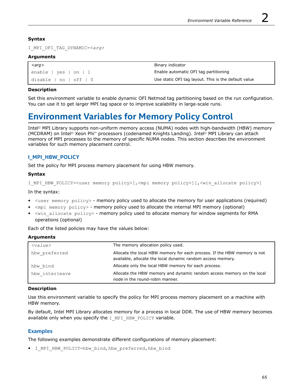## **Syntax**

I\_MPI\_OFI\_TAG\_DYNAMIC=*<arg>*

## **Arguments**

| $\mid$ <arg></arg>                     | Binary indicator                                     |
|----------------------------------------|------------------------------------------------------|
| $l$ enable   yes   on   1              | Enable automatic OFI tag partitioning                |
| $ $ disable $ $ no $ $ off $ $ $ $ $ $ | Use static OFI tag layout. This is the default value |

## **Description**

Set this environment variable to enable dynamic OFI Netmod tag partitioning based on the run configuration. You can use it to get larger MPI tag space or to improve scalability in large-scale runs.

# **Environment Variables for Memory Policy Control**

Intel® MPI Library supports non-uniform memory access (NUMA) nodes with high-bandwidth (HBW) memory (MCDRAM) on Intel® Xeon Phi™ processors (codenamed Knights Landing). Intel® MPI Library can attach memory of MPI processes to the memory of specific NUMA nodes. This section describes the environment variables for such memory placement control.

# **I\_MPI\_HBW\_POLICY**

Set the policy for MPI process memory placement for using HBW memory.

## **Syntax**

```
I MPI HBW POLICY=<user memory policy>[,<mpi memory policy>][,<win allocate policy>]
```
In the syntax:

- <user memory policy> memory policy used to allocate the memory for user applications (required)
- <mpi memory policy> memory policy used to allocate the internal MPI memory (optional)
- <win\_allocate policy> memory policy used to allocate memory for window segments for RMA operations (optional)

Each of the listed policies may have the values below:

## **Arguments**

| $<$ value $>$  | The memory allocation policy used.                                                                                                      |
|----------------|-----------------------------------------------------------------------------------------------------------------------------------------|
| hbw preferred  | Allocate the local HBW memory for each process. If the HBW memory is not<br>available, allocate the local dynamic random access memory. |
| hbw bind       | Allocate only the local HBW memory for each process.                                                                                    |
| hbw interleave | Allocate the HBW memory and dynamic random access memory on the local<br>node in the round-robin manner.                                |

## **Description**

Use this environment variable to specify the policy for MPI process memory placement on a machine with HBW memory.

By default, Intel MPI Library allocates memory for a process in local DDR. The use of HBW memory becomes available only when you specify the  $I$  MPI HBW POLICY variable.

## **Examples**

The following examples demonstrate different configurations of memory placement:

• I MPI HBW POLICY=hbw bind, hbw preferred, hbw bind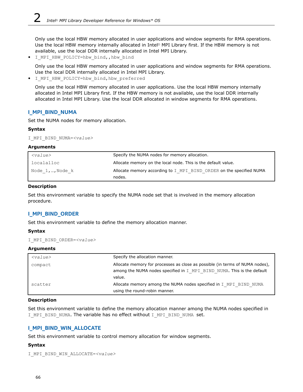Only use the local HBW memory allocated in user applications and window segments for RMA operations. Use the local HBW memory internally allocated in Intel® MPI Library first. If the HBW memory is not available, use the local DDR internally allocated in Intel MPI Library.

• I MPI HBW POLICY=hbw bind,, hbw bind

Only use the local HBW memory allocated in user applications and window segments for RMA operations. Use the local DDR internally allocated in Intel MPI Library.

• I MPI HBW POLICY=hbw bind, hbw preferred

Only use the local HBW memory allocated in user applications. Use the local HBW memory internally allocated in Intel MPI Library first. If the HBW memory is not available, use the local DDR internally allocated in Intel MPI Library. Use the local DDR allocated in window segments for RMA operations.

## **I\_MPI\_BIND\_NUMA**

Set the NUMA nodes for memory allocation.

## **Syntax**

I\_MPI\_BIND\_NUMA=*<value>*

#### **Arguments**

| $<$ value $>$   | Specify the NUMA nodes for memory allocation.                       |
|-----------------|---------------------------------------------------------------------|
| localalloc      | Allocate memory on the local node. This is the default value.       |
| Node 1,…,Node k | Allocate memory according to I MPI BIND ORDER on the specified NUMA |
|                 | nodes.                                                              |

## **Description**

Set this environment variable to specify the NUMA node set that is involved in the memory allocation procedure.

## **I\_MPI\_BIND\_ORDER**

Set this environment variable to define the memory allocation manner.

## **Syntax**

I\_MPI\_BIND\_ORDER=*<value>*

## **Arguments**

| $<$ value $>$ | Specify the allocation manner.                                                                                                                                   |
|---------------|------------------------------------------------------------------------------------------------------------------------------------------------------------------|
| compact       | Allocate memory for processes as close as possible (in terms of NUMA nodes),<br>among the NUMA nodes specified in I MPI BIND NUMA. This is the default<br>value. |
| scatter       | Allocate memory among the NUMA nodes specified in I MPI BIND NUMA<br>using the round-robin manner.                                                               |

## **Description**

Set this environment variable to define the memory allocation manner among the NUMA nodes specified in I MPI BIND NUMA. The variable has no effect without I MPI BIND NUMA set.

## **I\_MPI\_BIND\_WIN\_ALLOCATE**

Set this environment variable to control memory allocation for window segments.

## **Syntax**

```
I_MPI_BIND_WIN_ALLOCATE=<value>
```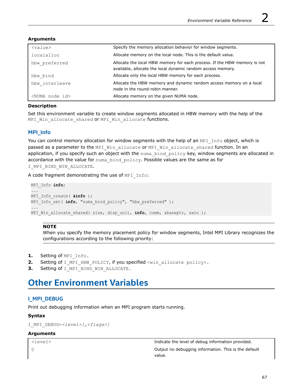| $<$ value $>$               | Specify the memory allocation behavior for window segments.                                                                             |
|-----------------------------|-----------------------------------------------------------------------------------------------------------------------------------------|
| localalloc                  | Allocate memory on the local node. This is the default value.                                                                           |
| hbw preferred               | Allocate the local HBW memory for each process. If the HBW memory is not<br>available, allocate the local dynamic random access memory. |
| hbw bind                    | Allocate only the local HBW memory for each process.                                                                                    |
| hbw interleave              | Allocate the HBW memory and dynamic random access memory on a local<br>node in the round-robin manner.                                  |
| <numa id="" node=""></numa> | Allocate memory on the given NUMA node.                                                                                                 |

## **Arguments**

## **Description**

Set this environment variable to create window segments allocated in HBW memory with the help of the MPI Win allocate shared Or MPI Win allocate functions.

## **MPI\_Info**

You can control memory allocation for window segments with the help of an MPI Info object, which is passed as a parameter to the MPI\_Win\_allocate or MPI\_Win\_allocate\_shared function. In an application, if you specify such an object with the numa bind policy key, window segments are allocated in accordance with the value for numa bind policy. Possible values are the same as for I MPI BIND WIN ALLOCATE.

A code fragment demonstrating the use of MPI Info:

```
MPI_Info info;
...
MPI_Info_create( &info );
MPI Info set( info, "numa bind policy", "hbw preferred" );
...
MPI Win allocate shared( size, disp_unit, info, comm, &baseptr, &win );
```
## **NOTE**

When you specify the memory placement policy for window segments, Intel MPI Library recognizes the configurations according to the following priority:

- 1. Setting of MPI Info.
- **2.** Setting of I\_MPI\_HBW\_POLICY, if you specified <win\_allocate policy>.
- **3.** Setting of I MPI BIND WIN ALLOCATE.

# **Other Environment Variables**

## **I\_MPI\_DEBUG**

Print out debugging information when an MPI program starts running.

## **Syntax**

```
I_MPI_DEBUG=<level>[,<flags>]
```
## **Arguments**

*<level>* Indicate the level of debug information provided.

0 Output no debugging information. This is the default value.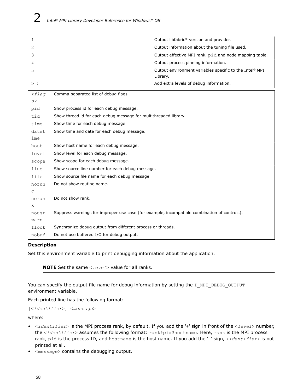| 1        |                                                                                              | Output libfabric* version and provider.                             |  |
|----------|----------------------------------------------------------------------------------------------|---------------------------------------------------------------------|--|
| 2        |                                                                                              | Output information about the tuning file used.                      |  |
| 3        |                                                                                              | Output effective MPI rank, pid and node mapping table.              |  |
| 4        |                                                                                              | Output process pinning information.                                 |  |
| 5        | Library.                                                                                     | Output environment variables specific to the Intel <sup>®</sup> MPI |  |
| > 5      |                                                                                              | Add extra levels of debug information.                              |  |
| $<$ flag | Comma-separated list of debug flags                                                          |                                                                     |  |
| s        |                                                                                              |                                                                     |  |
| pid      | Show process id for each debug message.                                                      |                                                                     |  |
| tid      | Show thread id for each debug message for multithreaded library.                             |                                                                     |  |
| time     | Show time for each debug message.                                                            |                                                                     |  |
| datet    | Show time and date for each debug message.                                                   |                                                                     |  |
| ime      |                                                                                              |                                                                     |  |
| host     | Show host name for each debug message.                                                       |                                                                     |  |
| level    | Show level for each debug message.                                                           |                                                                     |  |
| scope    | Show scope for each debug message.                                                           |                                                                     |  |
| line     | Show source line number for each debug message.                                              |                                                                     |  |
| file     | Show source file name for each debug message.                                                |                                                                     |  |
| nofun    | Do not show routine name.                                                                    |                                                                     |  |
| C        |                                                                                              |                                                                     |  |
| noran    | Do not show rank.                                                                            |                                                                     |  |
| k        |                                                                                              |                                                                     |  |
| nousr    | Suppress warnings for improper use case (for example, incompatible combination of controls). |                                                                     |  |
| warn     |                                                                                              |                                                                     |  |
| flock    | Synchronize debug output from different process or threads.                                  |                                                                     |  |
| nobuf    | Do not use buffered I/O for debug output.                                                    |                                                                     |  |

## **Description**

Set this environment variable to print debugging information about the application.

**NOTE** Set the same <*level*> value for all ranks.

You can specify the output file name for debug information by setting the I MPI\_DEBUG\_OUTPUT environment variable.

Each printed line has the following format:

```
[<identifier>] <message>
```
where:

- <*identifier*> is the MPI process rank, by default. If you add the '+' sign in front of the <*level*> number, the <*identifier*> assumes the following format: rank#pid@hostname. Here, rank is the MPI process rank, pid is the process ID, and hostname is the host name. If you add the '-' sign, <*identifier*> is not printed at all.
- <*message*> contains the debugging output.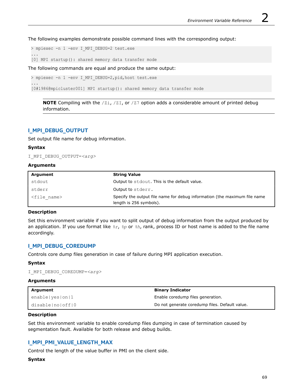The following examples demonstrate possible command lines with the corresponding output:

> mpiexec -n 1 -env I MPI DEBUG=2 test.exe

[0] MPI startup(): shared memory data transfer mode

The following commands are equal and produce the same output:

> mpiexec -n 1 -env I MPI DEBUG=2,pid, host test.exe

[0#1986@mpicluster001] MPI startup(): shared memory data transfer mode

**NOTE** Compiling with the /zi, /zI, or /z7 option adds a considerable amount of printed debug information.

## **I\_MPI\_DEBUG\_OUTPUT**

Set output file name for debug information.

#### **Syntax**

...

...

I\_MPI\_DEBUG\_OUTPUT=*<arg>*

## **Arguments**

| Argument              | <b>String Value</b>                                                                                  |
|-----------------------|------------------------------------------------------------------------------------------------------|
| stdout                | Output to stdout. This is the default value.                                                         |
| stderr                | Output to stderr.                                                                                    |
| <file name=""></file> | Specify the output file name for debug information (the maximum file name<br>length is 256 symbols). |

## **Description**

Set this environment variable if you want to split output of debug information from the output produced by an application. If you use format like *%r*, *%p* or *%h*, rank, process ID or host name is added to the file name accordingly.

## **I\_MPI\_DEBUG\_COREDUMP**

Controls core dump files generation in case of failure during MPI application execution.

## **Syntax**

I\_MPI\_DEBUG\_COREDUMP=*<arg>*

## **Arguments**

| Araument         | <b>Binary Indicator</b>                        |
|------------------|------------------------------------------------|
| enable yes on 1  | Enable coredump files generation.              |
| disable no off 0 | Do not generate coredump files. Default value. |

## **Description**

Set this environment variable to enable coredump files dumping in case of termination caused by segmentation fault. Available for both release and debug builds.

## **I\_MPI\_PMI\_VALUE\_LENGTH\_MAX**

Control the length of the value buffer in PMI on the client side.

## **Syntax**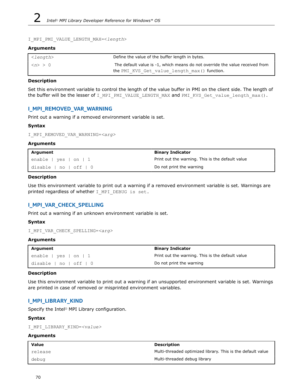```
I_MPI_PMI_VALUE_LENGTH_MAX=<length>
```
## **Arguments**

| <length></length>                | Define the value of the buffer length in bytes.                              |
|----------------------------------|------------------------------------------------------------------------------|
| $\sim$ 1 $\langle n \rangle > 0$ | The default value is -1, which means do not override the value received from |
|                                  | the PMI KVS Get value length max () function.                                |

#### **Description**

Set this environment variable to control the length of the value buffer in PMI on the client side. The length of the buffer will be the lesser of I\_MPI\_PMI\_VALUE\_LENGTH\_MAX and PMI\_KVS\_Get\_value\_length\_max().

## **I\_MPI\_REMOVED\_VAR\_WARNING**

Print out a warning if a removed environment variable is set.

## **Syntax**

I\_MPI\_REMOVED\_VAR\_WARNING=*<arg>*

#### **Arguments**

| Argument                           | <b>Binary Indicator</b>                          |
|------------------------------------|--------------------------------------------------|
| enable   yes   on   1              | Print out the warning. This is the default value |
| $ $ disable $ $ no $ $ off $ $ $ $ | Do not print the warning                         |

#### **Description**

Use this environment variable to print out a warning if a removed environment variable is set. Warnings are printed regardless of whether I MPI DEBUG is set.

## **I\_MPI\_VAR\_CHECK\_SPELLING**

Print out a warning if an unknown environment variable is set.

## **Syntax**

```
I_MPI_VAR_CHECK_SPELLING=<arg>
```
## **Arguments**

| <sup>1</sup> Argument            | <b>Binary Indicator</b>                          |
|----------------------------------|--------------------------------------------------|
| $ $ enable $ $ yes $ $ on $ $ 1  | Print out the warning. This is the default value |
| $ $ disable $ $ no $ $ off $ $ 0 | Do not print the warning                         |

## **Description**

Use this environment variable to print out a warning if an unsupported environment variable is set. Warnings are printed in case of removed or misprinted environment variables.

## **I\_MPI\_LIBRARY\_KIND**

Specify the Intel® MPI Library configuration.

## **Syntax**

I\_MPI\_LIBRARY\_KIND=*<value>*

## **Arguments**

| Value   | <b>Description</b>                                          |
|---------|-------------------------------------------------------------|
| release | Multi-threaded optimized library. This is the default value |
| debuq   | Multi-threaded debug library                                |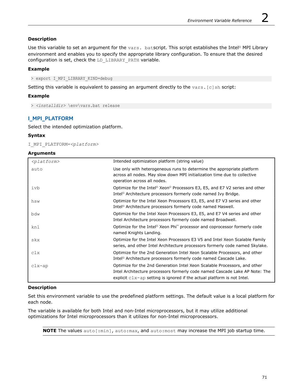## **Description**

Use this variable to set an argument for the vars. batscript. This script establishes the Intel® MPI Library environment and enables you to specify the appropriate library configuration. To ensure that the desired configuration is set, check the LD\_LIBRARY\_PATH variable.

## **Example**

> export I\_MPI\_LIBRARY\_KIND=debug

Setting this variable is equivalent to passing an argument directly to the vars. [c]sh script:

## **Example**

> *<installdir>* \env\vars.bat release

# **I\_MPI\_PLATFORM**

Select the intended optimization platform.

## **Syntax**

I\_MPI\_PLATFORM=*<platform>*

## **Arguments**

| $<$ platform $>$ | Intended optimization platform (string value)                                                                                                                                                                                                |
|------------------|----------------------------------------------------------------------------------------------------------------------------------------------------------------------------------------------------------------------------------------------|
| auto             | Use only with heterogeneous runs to determine the appropriate platform<br>across all nodes. May slow down MPI initialization time due to collective<br>operation across all nodes.                                                           |
| ivb              | Optimize for the Intel <sup>®</sup> Xeon <sup>®</sup> Processors E3, E5, and E7 V2 series and other<br>Intel <sup>®</sup> Architecture processors formerly code named Ivy Bridge.                                                            |
| hsw              | Optimize for the Intel Xeon Processors E3, E5, and E7 V3 series and other<br>Intel <sup>®</sup> Architecture processors formerly code named Haswell.                                                                                         |
| bdw              | Optimize for the Intel Xeon Processors E3, E5, and E7 V4 series and other<br>Intel Architecture processors formerly code named Broadwell.                                                                                                    |
| knl              | Optimize for the Intel <sup>®</sup> Xeon Phi <sup>™</sup> processor and coprocessor formerly code<br>named Knights Landing.                                                                                                                  |
| skx              | Optimize for the Intel Xeon Processors E3 V5 and Intel Xeon Scalable Family<br>series, and other Intel Architecture processors formerly code named Skylake.                                                                                  |
| clx              | Optimize for the 2nd Generation Intel Xeon Scalable Processors, and other<br>Intel <sup>®</sup> Architecture processors formerly code named Cascade Lake.                                                                                    |
| $clx$ -ap        | Optimize for the 2nd Generation Intel Xeon Scalable Processors, and other<br>Intel Architecture processors formerly code named Cascade Lake AP Note: The<br>explicit $\text{clx-ap}$ setting is ignored if the actual platform is not Intel. |

## **Description**

Set this environment variable to use the predefined platform settings. The default value is a local platform for each node.

The variable is available for both Intel and non-Intel microprocessors, but it may utilize additional optimizations for Intel microprocessors than it utilizes for non-Intel microprocessors.

**NOTE** The values auto[:min], auto:max, and auto:most may increase the MPI job startup time.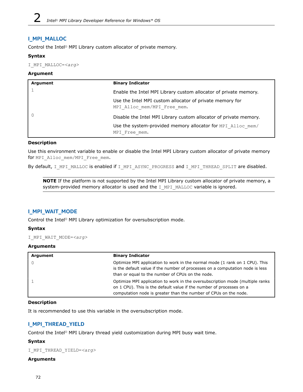# **I\_MPI\_MALLOC**

Control the Intel® MPI Library custom allocator of private memory.

## **Syntax**

I\_MPI\_MALLOC=*<arg>*

## **Argument**

| Argument | <b>Binary Indicator</b>                                                                 |
|----------|-----------------------------------------------------------------------------------------|
|          | Enable the Intel MPI Library custom allocator of private memory.                        |
|          | Use the Intel MPI custom allocator of private memory for<br>MPI Alloc mem/MPI Free mem. |
| 0        | Disable the Intel MPI Library custom allocator of private memory.                       |
|          | Use the system-provided memory allocator for MPI Alloc mem/<br>MPI Free mem.            |

## **Description**

Use this environment variable to enable or disable the Intel MPI Library custom allocator of private memory for MPI\_Alloc\_mem/MPI\_Free\_mem.

By default, I\_MPI\_MALLOC is enabled if I\_MPI\_ASYNC\_PROGRESS and I\_MPI\_THREAD\_SPLIT are disabled.

**NOTE** If the platform is not supported by the Intel MPI Library custom allocator of private memory, a system-provided memory allocator is used and the  $I$  MPI\_MALLOC variable is ignored.

## **I\_MPI\_WAIT\_MODE**

Control the Intel® MPI Library optimization for oversubscription mode.

## **Syntax**

I\_MPI\_WAIT\_MODE=*<arg>*

## **Arguments**

| Argument | <b>Binary Indicator</b>                                                                                                                                                                                                    |
|----------|----------------------------------------------------------------------------------------------------------------------------------------------------------------------------------------------------------------------------|
|          | Optimize MPI application to work in the normal mode (1 rank on 1 CPU). This<br>is the default value if the number of processes on a computation node is less<br>than or equal to the number of CPUs on the node.           |
|          | Optimize MPI application to work in the oversubscription mode (multiple ranks)<br>on 1 CPU). This is the default value if the number of processes on a<br>computation node is greater than the number of CPUs on the node. |

## **Description**

It is recommended to use this variable in the oversubscription mode.

## **I\_MPI\_THREAD\_YIELD**

Control the Intel® MPI Library thread yield customization during MPI busy wait time.

## **Syntax**

```
I_MPI_THREAD_YIELD=<arg>
```
## **Arguments**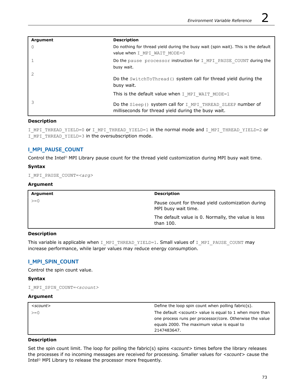| Argument | <b>Description</b>                                                                                                  |
|----------|---------------------------------------------------------------------------------------------------------------------|
| $\Omega$ | Do nothing for thread yield during the busy wait (spin wait). This is the default<br>value when I MPI WAIT MODE=0   |
|          | Do the pause processor instruction for I MPI PAUSE COUNT during the<br>busy wait.                                   |
| 2        | Do the SwitchToThread () system call for thread yield during the<br>busy wait.                                      |
|          | This is the default value when I MPI WAIT MODE=1                                                                    |
|          | Do the Sleep () system call for I MPI THREAD SLEEP number of<br>milliseconds for thread yield during the busy wait. |

## **Description**

I\_MPI\_THREAD\_YIELD=0 or I\_MPI\_THREAD\_YIELD=1 in the normal mode and I\_MPI\_THREAD\_YIELD=2 or I\_MPI\_THREAD\_YIELD=3 in the oversubscription mode.

## **I\_MPI\_PAUSE\_COUNT**

Control the Intel® MPI Library pause count for the thread yield customization during MPI busy wait time.

## **Syntax**

I\_MPI\_PAUSE\_COUNT=*<arg>*

## **Argument**

| Argument | <b>Description</b>                                                       |
|----------|--------------------------------------------------------------------------|
| $>=0$    | Pause count for thread yield customization during<br>MPI busy wait time. |
|          | The default value is 0. Normally, the value is less<br>than 100.         |

## **Description**

This variable is applicable when I\_MPI\_THREAD\_YIELD=1. Small values of I\_MPI\_PAUSE\_COUNT may increase performance, while larger values may reduce energy consumption.

## **I\_MPI\_SPIN\_COUNT**

Control the spin count value.

#### **Syntax**

I\_MPI\_SPIN\_COUNT=*<scount>*

#### **Argument**

| <scount></scount> | Define the loop spin count when polling fabric(s).               |
|-------------------|------------------------------------------------------------------|
| $>=0$             | The default <scount> value is equal to 1 when more than</scount> |
|                   | one process runs per processor/core. Otherwise the value         |
|                   | equals 2000. The maximum value is equal to                       |
|                   | 2147483647.                                                      |

## **Description**

Set the spin count limit. The loop for polling the fabric(s) spins <scount> times before the library releases the processes if no incoming messages are received for processing. Smaller values for *<scount>* cause the Intel® MPI Library to release the processor more frequently.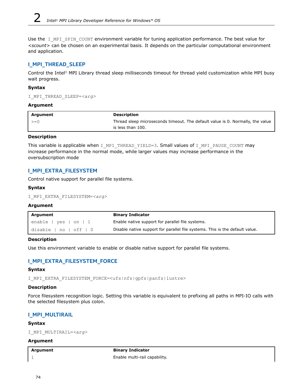Use the I MPI SPIN COUNT environment variable for tuning application performance. The best value for *<scount>* can be chosen on an experimental basis. It depends on the particular computational environment and application.

## **I\_MPI\_THREAD\_SLEEP**

Control the Intel® MPI Library thread sleep milliseconds timeout for thread yield customization while MPI busy wait progress.

#### **Syntax**

```
I_MPI_THREAD_SLEEP=<arg>
```
#### **Argument**

| l Argument          | <b>Description</b>                                                                                  |
|---------------------|-----------------------------------------------------------------------------------------------------|
| $\vert \rangle = 0$ | Thread sleep microseconds timeout. The default value is 0. Normally, the value<br>is less than 100. |

## **Description**

This variable is applicable when I\_MPI\_THREAD\_YIELD=3. Small values of I\_MPI\_PAUSE\_COUNT may increase performance in the normal mode, while larger values may increase performance in the oversubscription mode

## **I\_MPI\_EXTRA\_FILESYSTEM**

Control native support for parallel file systems.

#### **Syntax**

I\_MPI\_EXTRA\_FILESYSTEM=*<arg>*

## **Argument**

| Argument                     | <b>Binary Indicator</b>                                                      |
|------------------------------|------------------------------------------------------------------------------|
| enable   yes   on   1        | Enable native support for parallel file systems.                             |
| disable $ $ no $ $ off $ $ 0 | Disable native support for parallel file systems. This is the default value. |

## **Description**

Use this environment variable to enable or disable native support for parallel file systems.

## **I\_MPI\_EXTRA\_FILESYSTEM\_FORCE**

## **Syntax**

I\_MPI\_EXTRA\_FILESYSTEM\_FORCE=<ufs|nfs|gpfs|panfs|lustre>

## **Description**

Force filesystem recognition logic. Setting this variable is equivalent to prefixing all paths in MPI-IO calls with the selected filesystem plus colon.

## **I\_MPI\_MULTIRAIL**

#### **Syntax**

I\_MPI\_MULTIRAIL=*<arg>*

#### **Argument**

**Argument Binary Indicator** 1 Enable multi-rail capability.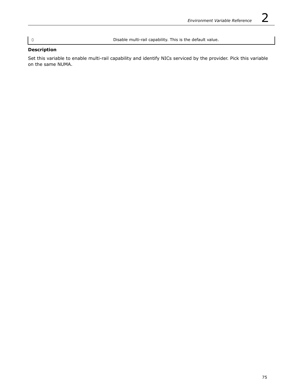0 Disable multi-rail capability. This is the default value.

# **Description**

Set this variable to enable multi-rail capability and identify NICs serviced by the provider. Pick this variable on the same NUMA.